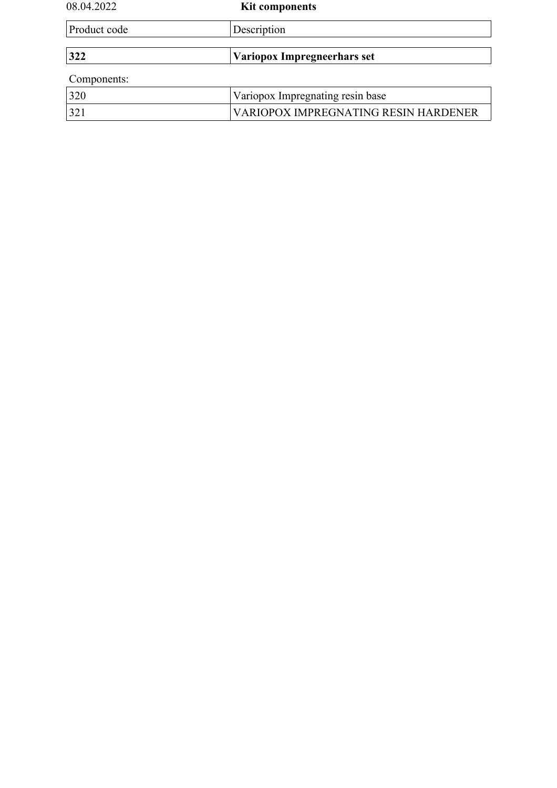| 08.04.2022   | <b>Kit components</b>                |  |
|--------------|--------------------------------------|--|
| Product code | Description                          |  |
|              |                                      |  |
| 322          | Variopox Impregneerhars set          |  |
| Components:  |                                      |  |
| 320          | Variopox Impregnating resin base     |  |
| 321          | VARIOPOX IMPREGNATING RESIN HARDENER |  |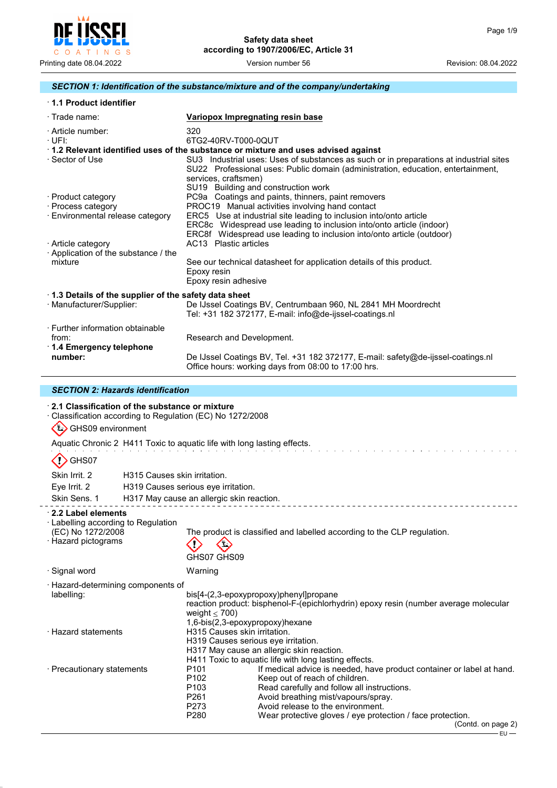

# *SECTION 1: Identification of the substance/mixture and of the company/undertaking*

| 1.1 Product identifier                                               |                                                                                                                                                                                                                                           |  |  |  |
|----------------------------------------------------------------------|-------------------------------------------------------------------------------------------------------------------------------------------------------------------------------------------------------------------------------------------|--|--|--|
| $\cdot$ Trade name:                                                  | Variopox Impregnating resin base                                                                                                                                                                                                          |  |  |  |
| · Article number:<br>$\cdot$ UFI:                                    | 320<br>6TG2-40RV-T000-0QUT                                                                                                                                                                                                                |  |  |  |
|                                                                      | 1.2 Relevant identified uses of the substance or mixture and uses advised against                                                                                                                                                         |  |  |  |
| ⋅ Sector of Use                                                      | SU3 Industrial uses: Uses of substances as such or in preparations at industrial sites<br>SU22 Professional uses: Public domain (administration, education, entertainment,<br>services, craftsmen)<br>SU19 Building and construction work |  |  |  |
| · Product category                                                   | PC9a Coatings and paints, thinners, paint removers                                                                                                                                                                                        |  |  |  |
| · Process category                                                   | PROC19 Manual activities involving hand contact                                                                                                                                                                                           |  |  |  |
| · Environmental release category                                     | ERC5 Use at industrial site leading to inclusion into/onto article<br>ERC8c Widespread use leading to inclusion into/onto article (indoor)<br>ERC8f Widespread use leading to inclusion into/onto article (outdoor)                       |  |  |  |
| · Article category<br>· Application of the substance / the           | AC13 Plastic articles                                                                                                                                                                                                                     |  |  |  |
| mixture                                                              | See our technical datasheet for application details of this product.<br>Epoxy resin<br>Epoxy resin adhesive                                                                                                                               |  |  |  |
|                                                                      | 1.3 Details of the supplier of the safety data sheet                                                                                                                                                                                      |  |  |  |
| · Manufacturer/Supplier:                                             | De IJssel Coatings BV, Centrumbaan 960, NL 2841 MH Moordrecht<br>Tel: +31 182 372177, E-mail: info@de-ijssel-coatings.nl                                                                                                                  |  |  |  |
| · Further information obtainable<br>from:<br>1.4 Emergency telephone | Research and Development.                                                                                                                                                                                                                 |  |  |  |
| number:                                                              | De IJssel Coatings BV, Tel. +31 182 372177, E-mail: safety@de-ijssel-coatings.nl<br>Office hours: working days from 08:00 to 17:00 hrs.                                                                                                   |  |  |  |

# *SECTION 2: Hazards identification*

### · **2.1 Classification of the substance or mixture**

· Classification according to Regulation (EC) No 1272/2008

# GHS09 environment

Aquatic Chronic 2 H411 Toxic to aquatic life with long lasting effects.

# $\langle \cdot \rangle$  GHS07

 $\overline{a}$ 

| Skin Irrit. 2                                                                                               | H315 Causes skin irritation. |                                                                                              |                                                                                                                                                                                                                                                                                                  |                    |  |
|-------------------------------------------------------------------------------------------------------------|------------------------------|----------------------------------------------------------------------------------------------|--------------------------------------------------------------------------------------------------------------------------------------------------------------------------------------------------------------------------------------------------------------------------------------------------|--------------------|--|
| Eye Irrit. 2                                                                                                |                              | H319 Causes serious eye irritation.                                                          |                                                                                                                                                                                                                                                                                                  |                    |  |
| Skin Sens, 1                                                                                                |                              | H317 May cause an allergic skin reaction.                                                    |                                                                                                                                                                                                                                                                                                  |                    |  |
| 2.2 Label elements<br>$\cdot$ Labelling according to Regulation<br>(EC) No 1272/2008<br>· Hazard pictograms |                              | $\left( \frac{1}{2} \right)$<br>GHS07 GHS09                                                  | The product is classified and labelled according to the CLP regulation.                                                                                                                                                                                                                          |                    |  |
| · Signal word                                                                                               |                              | Warning                                                                                      |                                                                                                                                                                                                                                                                                                  |                    |  |
| · Hazard-determining components of<br>labelling:                                                            |                              | weight $\leq 700$ )<br>1,6-bis(2,3-epoxypropoxy)hexane                                       | bis[4-(2,3-epoxypropoxy)phenyl]propane<br>reaction product: bisphenol-F-(epichlorhydrin) epoxy resin (number average molecular                                                                                                                                                                   |                    |  |
| · Hazard statements                                                                                         |                              | H315 Causes skin irritation.<br>H319 Causes serious eye irritation.                          | H317 May cause an allergic skin reaction.<br>H411 Toxic to aquatic life with long lasting effects.                                                                                                                                                                                               |                    |  |
| · Precautionary statements                                                                                  |                              | P <sub>101</sub><br>P <sub>102</sub><br>P <sub>103</sub><br>P <sub>261</sub><br>P273<br>P280 | If medical advice is needed, have product container or label at hand.<br>Keep out of reach of children.<br>Read carefully and follow all instructions.<br>Avoid breathing mist/vapours/spray.<br>Avoid release to the environment.<br>Wear protective gloves / eye protection / face protection. | (Contd. on page 2) |  |
|                                                                                                             |                              |                                                                                              |                                                                                                                                                                                                                                                                                                  | - EU —             |  |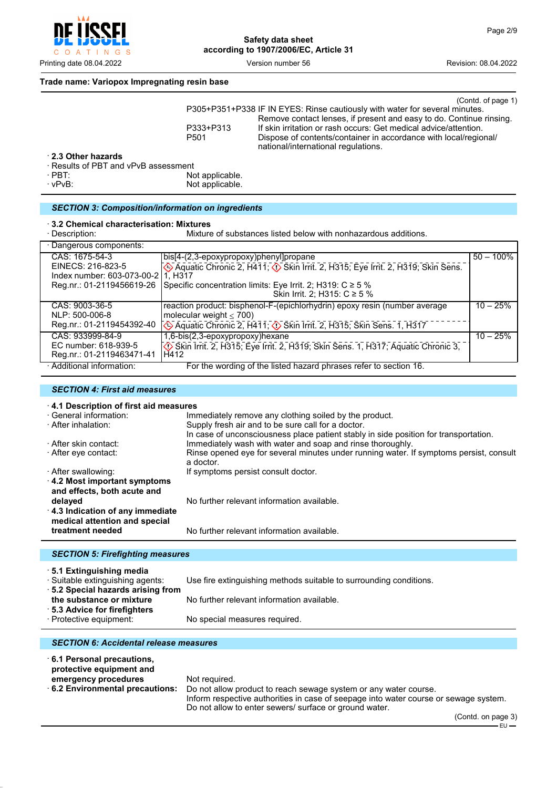

# **Trade name: Variopox Impregnating resin base**

|                                      |                  | (Contd. of page 1)                                                                                      |
|--------------------------------------|------------------|---------------------------------------------------------------------------------------------------------|
|                                      |                  | P305+P351+P338 IF IN EYES: Rinse cautiously with water for several minutes.                             |
|                                      |                  | Remove contact lenses, if present and easy to do. Continue rinsing.                                     |
|                                      | P333+P313        | If skin irritation or rash occurs: Get medical advice/attention.                                        |
|                                      | P <sub>501</sub> | Dispose of contents/container in accordance with local/regional/<br>national/international regulations. |
| 2.3 Other hazards                    |                  |                                                                                                         |
| · Results of PBT and vPvB assessment |                  |                                                                                                         |

· PBT: Not applicable. Not applicable.

# *SECTION 3: Composition/information on ingredients*

#### · **3.2 Chemical characterisation: Mixtures**

| · Description:                                                            | Mixture of substances listed below with nonhazardous additions.                                                                                                                            |              |
|---------------------------------------------------------------------------|--------------------------------------------------------------------------------------------------------------------------------------------------------------------------------------------|--------------|
| · Dangerous components:                                                   |                                                                                                                                                                                            |              |
| CAS: 1675-54-3<br>EINECS: 216-823-5<br>Index number: 603-073-00-211. H317 | bis[4-(2,3-epoxypropoxy)phenyl]propane<br>Aquatic Chronic 2, H411; $\circled{)}$ Skin Irrit. 2, H315; Eye Irrit. 2, H319; Skin Sens.                                                       | $50 - 100\%$ |
| Reg.nr.: 01-2119456619-26                                                 | Specific concentration limits: Eye Irrit. 2; H319: $C \ge 5$ %<br>Skin Irrit. 2; H315: C ≥ 5 %                                                                                             |              |
| CAS: 9003-36-5<br>NLP: 500-006-8<br>Reg.nr.: 01-2119454392-40             | reaction product: bisphenol-F-(epichlorhydrin) epoxy resin (number average<br>molecular weight $\leq 700$ )<br>Aquatic Chronic 2, H411; $\Diamond$ Skin Irrit. 2, H315; Skin Sens. 1, H317 | $10 - 25%$   |
| CAS: 933999-84-9<br>EC number: 618-939-5<br>Reg.nr.: 01-2119463471-41     | 1,6-bis(2,3-epoxypropoxy)hexane<br>Skin Irrit. 2, H315; Eye Irrit. 2, H319; Skin Sens. 1, H317; Aquatic Chronic 3,<br>H412                                                                 | $10 - 25%$   |
| · Additional information:                                                 | For the wording of the listed hazard phrases refer to section 16.                                                                                                                          |              |

# *SECTION 4: First aid measures*

| 4.1 Description of first aid measures                              |                                                                                                                                            |  |  |
|--------------------------------------------------------------------|--------------------------------------------------------------------------------------------------------------------------------------------|--|--|
| · General information:                                             | Immediately remove any clothing soiled by the product.                                                                                     |  |  |
| · After inhalation:                                                | Supply fresh air and to be sure call for a doctor.<br>In case of unconsciousness place patient stably in side position for transportation. |  |  |
| · After skin contact:                                              | Immediately wash with water and soap and rinse thoroughly.                                                                                 |  |  |
| ⋅ After eye contact:                                               | Rinse opened eye for several minutes under running water. If symptoms persist, consult<br>a doctor.                                        |  |  |
| · After swallowing:                                                | If symptoms persist consult doctor.                                                                                                        |  |  |
| $\cdot$ 4.2 Most important symptoms<br>and effects, both acute and |                                                                                                                                            |  |  |
| delayed                                                            | No further relevant information available.                                                                                                 |  |  |
| 4.3 Indication of any immediate<br>medical attention and special   |                                                                                                                                            |  |  |
| treatment needed                                                   | No further relevant information available.                                                                                                 |  |  |
|                                                                    |                                                                                                                                            |  |  |
| <b>SECTION 5: Firefighting measures</b>                            |                                                                                                                                            |  |  |

· **5.1 Extinguishing media**

Use fire extinguishing methods suitable to surrounding conditions.

· **5.2 Special hazards arising from** No further relevant information available.

· **5.3 Advice for firefighters**

· **6.1 Personal precautions,**

· Protective equipment: No special measures required.

# *SECTION 6: Accidental release measures*

**protective equipment and emergency procedures** Not required.<br>**6.2 Environmental precautions:** Do not allow Do not allow product to reach sewage system or any water course. Inform respective authorities in case of seepage into water course or sewage system. Do not allow to enter sewers/ surface or ground water.

(Contd. on page 3)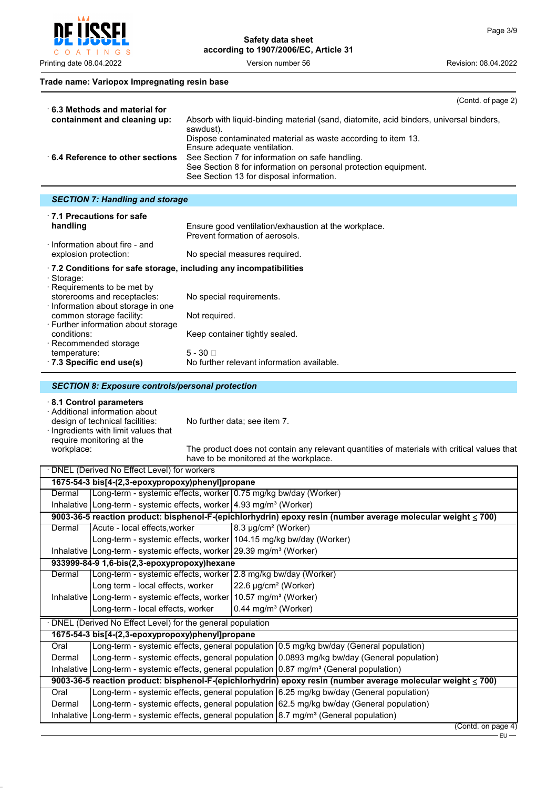$\circ$  $\overline{A}$ INGS  $T$ 

Printing date 08.04.2022 **Version number 56** Revision: 08.04.2022 Version number 56

#### **Trade name: Variopox Impregnating resin base**

| $\cdot$ 6.3 Methods and material for | (Contd. of page 2)                                                                                                                                             |
|--------------------------------------|----------------------------------------------------------------------------------------------------------------------------------------------------------------|
| containment and cleaning up:         | Absorb with liquid-binding material (sand, diatomite, acid binders, universal binders,<br>sawdust).                                                            |
|                                      | Dispose contaminated material as waste according to item 13.<br>Ensure adequate ventilation.                                                                   |
| 6.4 Reference to other sections      | See Section 7 for information on safe handling.<br>See Section 8 for information on personal protection equipment.<br>See Section 13 for disposal information. |

# *SECTION 7: Handling and storage*

| 1.1 Precautions for safe<br>handling                                                                                                                     | Ensure good ventilation/exhaustion at the workplace.<br>Prevent formation of aerosols.          |
|----------------------------------------------------------------------------------------------------------------------------------------------------------|-------------------------------------------------------------------------------------------------|
| Information about fire - and<br>explosion protection:                                                                                                    | No special measures required.                                                                   |
| $\pm$ 7.2 Conditions for safe storage, including any incompatibilities<br>· Storage:<br>$\cdot$ Requirements to be met by<br>storerooms and receptacles: | No special requirements.                                                                        |
| Information about storage in one<br>common storage facility:<br>⋅ Further information about storage                                                      | Not required.                                                                                   |
| conditions:<br>· Recommended storage<br>temperature:<br>$\cdot$ 7.3 Specific end use(s)                                                                  | Keep container tightly sealed.<br>$5 - 30$ $\Box$<br>No further relevant information available. |
|                                                                                                                                                          |                                                                                                 |

#### *SECTION 8: Exposure controls/personal protection*

# · **8.1 Control parameters**

· Additional information about design of technical facilities: No further data; see item 7. · Ingredients with limit values that require monitoring at the<br>workplace:

The product does not contain any relevant quantities of materials with critical values that have to be monitored at the workplace.

|                                                                                                              | DNEL (Derived No Effect Level) for workers                                                             |                                                   |                                                                                                              |  |
|--------------------------------------------------------------------------------------------------------------|--------------------------------------------------------------------------------------------------------|---------------------------------------------------|--------------------------------------------------------------------------------------------------------------|--|
|                                                                                                              | 1675-54-3 bis[4-(2,3-epoxypropoxy)phenyl]propane                                                       |                                                   |                                                                                                              |  |
| Dermal                                                                                                       | Long-term - systemic effects, worker 0.75 mg/kg bw/day (Worker)                                        |                                                   |                                                                                                              |  |
|                                                                                                              | Inhalative   Long-term - systemic effects, worker   4.93 mg/m <sup>3</sup> (Worker)                    |                                                   |                                                                                                              |  |
|                                                                                                              |                                                                                                        |                                                   | 9003-36-5 reaction product: bisphenol-F-(epichlorhydrin) epoxy resin (number average molecular weight ≤ 700) |  |
| Dermal                                                                                                       | Acute - local effects, worker                                                                          | 8.3 µg/cm <sup>2</sup> (Worker)                   |                                                                                                              |  |
|                                                                                                              | Long-term - systemic effects, worker 104.15 mg/kg bw/day (Worker)                                      |                                                   |                                                                                                              |  |
|                                                                                                              | Inhalative   Long-term - systemic effects, worker   29.39 mg/m <sup>3</sup> (Worker)                   |                                                   |                                                                                                              |  |
|                                                                                                              | 933999-84-9 1,6-bis(2,3-epoxypropoxy)hexane                                                            |                                                   |                                                                                                              |  |
| Dermal                                                                                                       | Long-term - systemic effects, worker 2.8 mg/kg bw/day (Worker)                                         |                                                   |                                                                                                              |  |
|                                                                                                              | Long term - local effects, worker                                                                      | $\left  22.6 \right $ µg/cm <sup>2</sup> (Worker) |                                                                                                              |  |
|                                                                                                              | Inhalative   Long-term - systemic effects, worker   10.57 mg/m <sup>3</sup> (Worker)                   |                                                   |                                                                                                              |  |
|                                                                                                              | Long-term - local effects, worker                                                                      | $0.44$ mg/m <sup>3</sup> (Worker)                 |                                                                                                              |  |
|                                                                                                              | DNEL (Derived No Effect Level) for the general population                                              |                                                   |                                                                                                              |  |
|                                                                                                              | 1675-54-3 bis[4-(2,3-epoxypropoxy)phenyl]propane                                                       |                                                   |                                                                                                              |  |
| Oral                                                                                                         |                                                                                                        |                                                   | Long-term - systemic effects, general population 0.5 mg/kg bw/day (General population)                       |  |
| Dermal                                                                                                       |                                                                                                        |                                                   | Long-term - systemic effects, general population 0.0893 mg/kg bw/day (General population)                    |  |
|                                                                                                              | Inhalative Long-term - systemic effects, general population $0.87 \text{ mg/m}^3$ (General population) |                                                   |                                                                                                              |  |
| 9003-36-5 reaction product: bisphenol-F-(epichlorhydrin) epoxy resin (number average molecular weight ≤ 700) |                                                                                                        |                                                   |                                                                                                              |  |
| Oral                                                                                                         |                                                                                                        |                                                   | Long-term - systemic effects, general population 6.25 mg/kg bw/day (General population)                      |  |
| Dermal                                                                                                       |                                                                                                        |                                                   | Long-term - systemic effects, general population 62.5 mg/kg bw/day (General population)                      |  |
|                                                                                                              | Inhalative Long-term - systemic effects, general population $8.7 \text{ mg/m}^3$ (General population)  |                                                   |                                                                                                              |  |

(Contd. on page 4)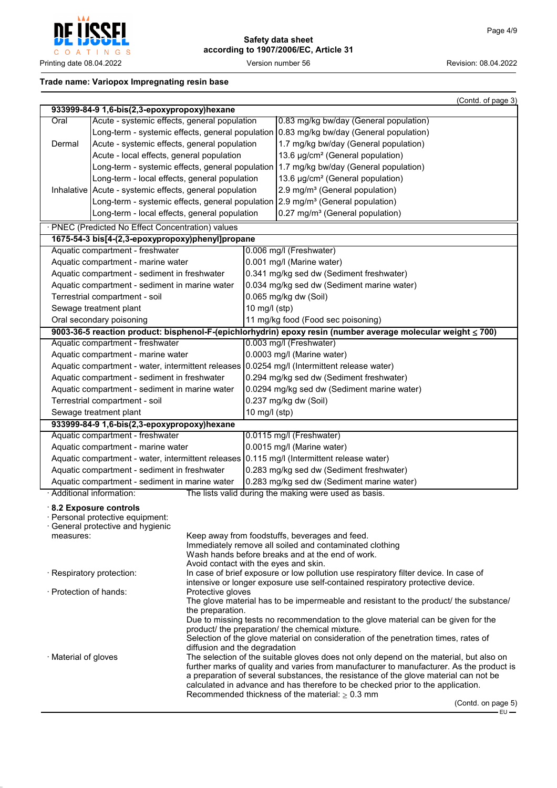

# **Trade name: Variopox Impregnating resin base**

|                                                                                            |                                                         |                                       |                                            | (Contd. of page 3)                                                                                           |
|--------------------------------------------------------------------------------------------|---------------------------------------------------------|---------------------------------------|--------------------------------------------|--------------------------------------------------------------------------------------------------------------|
|                                                                                            | 933999-84-9 1,6-bis(2,3-epoxypropoxy)hexane             |                                       |                                            |                                                                                                              |
| Oral                                                                                       | Acute - systemic effects, general population            |                                       |                                            | 0.83 mg/kg bw/day (General population)                                                                       |
|                                                                                            |                                                         |                                       |                                            | Long-term - systemic effects, general population   0.83 mg/kg bw/day (General population)                    |
| Acute - systemic effects, general population<br>Dermal                                     |                                                         |                                       |                                            | 1.7 mg/kg bw/day (General population)                                                                        |
|                                                                                            | Acute - local effects, general population               |                                       |                                            | 13.6 µg/cm <sup>2</sup> (General population)                                                                 |
|                                                                                            |                                                         |                                       |                                            | Long-term - systemic effects, general population   1.7 mg/kg bw/day (General population)                     |
|                                                                                            | Long-term - local effects, general population           |                                       |                                            | 13.6 µg/cm <sup>2</sup> (General population)                                                                 |
|                                                                                            | Inhalative Acute - systemic effects, general population |                                       |                                            | 2.9 mg/m <sup>3</sup> (General population)                                                                   |
|                                                                                            |                                                         |                                       |                                            | Long-term - systemic effects, general population $2.9 \text{ mg/m}^3$ (General population)                   |
|                                                                                            | Long-term - local effects, general population           |                                       |                                            | 0.27 mg/m <sup>3</sup> (General population)                                                                  |
|                                                                                            | · PNEC (Predicted No Effect Concentration) values       |                                       |                                            |                                                                                                              |
|                                                                                            | 1675-54-3 bis[4-(2,3-epoxypropoxy)phenyl]propane        |                                       |                                            |                                                                                                              |
|                                                                                            | Aquatic compartment - freshwater                        |                                       |                                            | 0.006 mg/l (Freshwater)                                                                                      |
|                                                                                            | Aquatic compartment - marine water                      |                                       |                                            | 0.001 mg/l (Marine water)                                                                                    |
|                                                                                            | Aquatic compartment - sediment in freshwater            |                                       |                                            | 0.341 mg/kg sed dw (Sediment freshwater)                                                                     |
|                                                                                            | Aquatic compartment - sediment in marine water          |                                       |                                            | 0.034 mg/kg sed dw (Sediment marine water)                                                                   |
|                                                                                            | Terrestrial compartment - soil                          |                                       |                                            | 0.065 mg/kg dw (Soil)                                                                                        |
|                                                                                            | Sewage treatment plant                                  |                                       | 10 mg/l (stp)                              |                                                                                                              |
|                                                                                            | Oral secondary poisoning                                |                                       |                                            | 11 mg/kg food (Food sec poisoning)                                                                           |
|                                                                                            |                                                         |                                       |                                            | 9003-36-5 reaction product: bisphenol-F-(epichlorhydrin) epoxy resin (number average molecular weight ≤ 700) |
|                                                                                            | Aquatic compartment - freshwater                        |                                       |                                            | 0.003 mg/l (Freshwater)                                                                                      |
|                                                                                            | Aquatic compartment - marine water                      |                                       |                                            | 0.0003 mg/l (Marine water)                                                                                   |
|                                                                                            |                                                         |                                       |                                            | Aquatic compartment - water, intermittent releases 0.0254 mg/l (Intermittent release water)                  |
|                                                                                            | Aquatic compartment - sediment in freshwater            |                                       |                                            | 0.294 mg/kg sed dw (Sediment freshwater)                                                                     |
|                                                                                            | Aquatic compartment - sediment in marine water          |                                       |                                            | 0.0294 mg/kg sed dw (Sediment marine water)                                                                  |
|                                                                                            | Terrestrial compartment - soil                          |                                       |                                            | 0.237 mg/kg dw (Soil)                                                                                        |
| Sewage treatment plant                                                                     |                                                         | 10 mg/l (stp)                         |                                            |                                                                                                              |
| 933999-84-9 1,6-bis(2,3-epoxypropoxy)hexane                                                |                                                         |                                       |                                            |                                                                                                              |
| Aquatic compartment - freshwater                                                           |                                                         |                                       | 0.0115 mg/l (Freshwater)                   |                                                                                                              |
| Aquatic compartment - marine water                                                         |                                                         |                                       | 0.0015 mg/l (Marine water)                 |                                                                                                              |
| Aquatic compartment - water, intermittent releases 0.115 mg/l (Intermittent release water) |                                                         |                                       |                                            |                                                                                                              |
|                                                                                            | Aquatic compartment - sediment in freshwater            |                                       |                                            | 0.283 mg/kg sed dw (Sediment freshwater)                                                                     |
| Aquatic compartment - sediment in marine water                                             |                                                         |                                       | 0.283 mg/kg sed dw (Sediment marine water) |                                                                                                              |
|                                                                                            | · Additional information:                               |                                       |                                            | The lists valid during the making were used as basis.                                                        |
|                                                                                            | 8.2 Exposure controls                                   |                                       |                                            |                                                                                                              |
|                                                                                            | · Personal protective equipment:                        |                                       |                                            |                                                                                                              |
|                                                                                            | General protective and hygienic                         |                                       |                                            |                                                                                                              |
| measures:                                                                                  |                                                         |                                       |                                            | Keep away from foodstuffs, beverages and feed.<br>Immediately remove all soiled and contaminated clothing    |
|                                                                                            |                                                         |                                       |                                            | Wash hands before breaks and at the end of work.                                                             |
|                                                                                            |                                                         | Avoid contact with the eyes and skin. |                                            |                                                                                                              |
|                                                                                            | · Respiratory protection:                               |                                       |                                            | In case of brief exposure or low pollution use respiratory filter device. In case of                         |
| · Protection of hands:                                                                     |                                                         |                                       |                                            | intensive or longer exposure use self-contained respiratory protective device.                               |
|                                                                                            |                                                         | Protective gloves                     |                                            | The glove material has to be impermeable and resistant to the product/ the substance/                        |
|                                                                                            |                                                         | the preparation.                      |                                            |                                                                                                              |
|                                                                                            |                                                         |                                       |                                            | Due to missing tests no recommendation to the glove material can be given for the                            |
|                                                                                            |                                                         |                                       |                                            | product/ the preparation/ the chemical mixture.                                                              |
|                                                                                            |                                                         |                                       |                                            | Selection of the glove material on consideration of the penetration times, rates of                          |
| · Material of gloves                                                                       |                                                         | diffusion and the degradation         |                                            | The selection of the suitable gloves does not only depend on the material, but also on                       |
|                                                                                            |                                                         |                                       |                                            | further marks of quality and varies from manufacturer to manufacturer. As the product is                     |
|                                                                                            |                                                         |                                       |                                            | a preparation of several substances, the resistance of the glove material can not be                         |
|                                                                                            |                                                         |                                       |                                            | calculated in advance and has therefore to be checked prior to the application.                              |
|                                                                                            |                                                         |                                       |                                            | Recommended thickness of the material: $\geq 0.3$ mm<br>(Contd. on page 5)                                   |
|                                                                                            |                                                         |                                       |                                            | $EU -$                                                                                                       |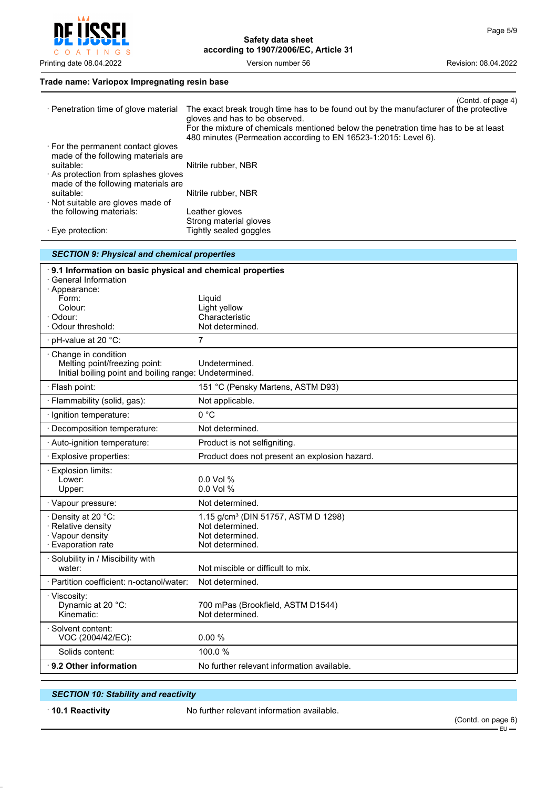$\mathsf{C}$ O A T I N G S

**Safety data sheet according to 1907/2006/EC, Article 31**

Printing date 08.04.2022 **Version number 56** Version number 56 Revision: 08.04.2022

# **Trade name: Variopox Impregnating resin base**

| · Penetration time of glove material                                                    | (Contd. of page 4)<br>The exact break trough time has to be found out by the manufacturer of the protective            |
|-----------------------------------------------------------------------------------------|------------------------------------------------------------------------------------------------------------------------|
|                                                                                         | gloves and has to be observed.<br>For the mixture of chemicals mentioned below the penetration time has to be at least |
| . For the permanent contact gloves                                                      | 480 minutes (Permeation according to EN 16523-1:2015: Level 6).                                                        |
| made of the following materials are                                                     |                                                                                                                        |
| suitable:<br>As protection from splashes gloves                                         | Nitrile rubber, NBR                                                                                                    |
| made of the following materials are                                                     |                                                                                                                        |
| suitable:<br>· Not suitable are gloves made of                                          | Nitrile rubber, NBR                                                                                                    |
| the following materials:                                                                | Leather gloves<br>Strong material gloves                                                                               |
| $\cdot$ Eye protection:                                                                 | Tightly sealed goggles                                                                                                 |
| <b>SECTION 9: Physical and chemical properties</b>                                      |                                                                                                                        |
| 9.1 Information on basic physical and chemical properties<br><b>General Information</b> |                                                                                                                        |
| · Appearance:                                                                           |                                                                                                                        |
| Form:<br>Colour:                                                                        | Liquid<br>Light yellow                                                                                                 |
| · Odour:                                                                                | Characteristic                                                                                                         |
| · Odour threshold:                                                                      | Not determined.                                                                                                        |
| pH-value at 20 °C:                                                                      | $\overline{7}$                                                                                                         |
| Change in condition<br>Melting point/freezing point:                                    | Undetermined.                                                                                                          |
| Initial boiling point and boiling range: Undetermined.                                  |                                                                                                                        |
| · Flash point:                                                                          | 151 °C (Pensky Martens, ASTM D93)                                                                                      |
| · Flammability (solid, gas):                                                            | Not applicable.                                                                                                        |
| · Ignition temperature:                                                                 | 0 °C                                                                                                                   |
| · Decomposition temperature:                                                            | Not determined.                                                                                                        |
| · Auto-ignition temperature:                                                            | Product is not selfigniting.                                                                                           |
| · Explosive properties:                                                                 | Product does not present an explosion hazard.                                                                          |
| Explosion limits:<br>Lower:                                                             | 0.0 Vol %                                                                                                              |
| Upper:                                                                                  | 0.0 Vol %                                                                                                              |
| · Vapour pressure:                                                                      | Not determined.                                                                                                        |
| Density at 20 $^{\circ}$ C:                                                             | 1.15 g/cm <sup>3</sup> (DIN 51757, ASTM D 1298)<br>Not determined.                                                     |
| · Relative density<br>· Vapour density                                                  | Not determined.                                                                                                        |
| · Evaporation rate                                                                      | Not determined.                                                                                                        |
| · Solubility in / Miscibility with<br>water:                                            | Not miscible or difficult to mix.                                                                                      |
| · Partition coefficient: n-octanol/water:                                               | Not determined.                                                                                                        |
| · Viscosity:                                                                            |                                                                                                                        |
| Dynamic at 20 °C:<br>Kinematic:                                                         | 700 mPas (Brookfield, ASTM D1544)<br>Not determined.                                                                   |
| Solvent content:                                                                        |                                                                                                                        |
| VOC (2004/42/EC):                                                                       | 0.00%                                                                                                                  |
| Solids content:                                                                         | 100.0%                                                                                                                 |
| 9.2 Other information                                                                   | No further relevant information available.                                                                             |

# *SECTION 10: Stability and reactivity*

· **10.1 Reactivity** No further relevant information available.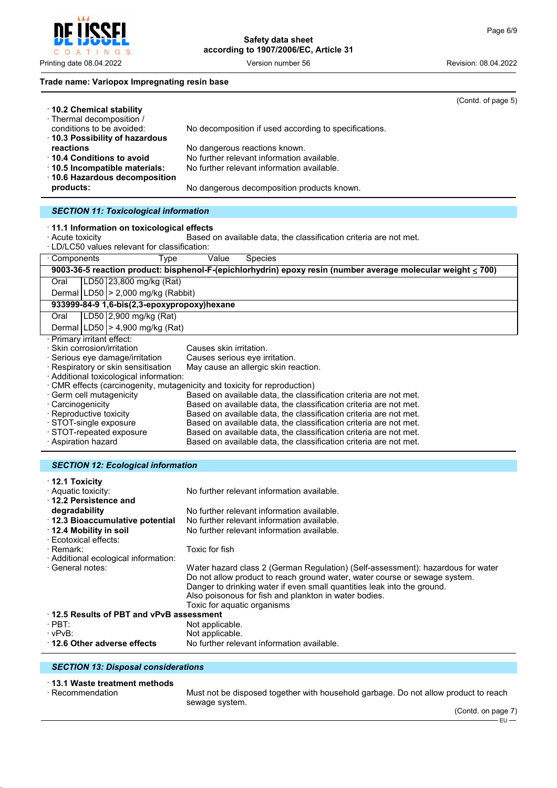# **Trade name: Variopox Impregnating resin base**

| $\cdot$ 10.2 Chemical stability                                                | (Contd. of page 5)                                                                                           |  |  |  |
|--------------------------------------------------------------------------------|--------------------------------------------------------------------------------------------------------------|--|--|--|
| · Thermal decomposition /                                                      |                                                                                                              |  |  |  |
| conditions to be avoided:<br>10.3 Possibility of hazardous                     | No decomposition if used according to specifications.                                                        |  |  |  |
| reactions                                                                      | No dangerous reactions known.                                                                                |  |  |  |
| 10.4 Conditions to avoid                                                       | No further relevant information available.                                                                   |  |  |  |
| 10.5 Incompatible materials:<br>· 10.6 Hazardous decomposition                 | No further relevant information available.                                                                   |  |  |  |
| products:                                                                      | No dangerous decomposition products known.                                                                   |  |  |  |
| <b>SECTION 11: Toxicological information</b>                                   |                                                                                                              |  |  |  |
| 11.1 Information on toxicological effects                                      |                                                                                                              |  |  |  |
| · Acute toxicity                                                               | Based on available data, the classification criteria are not met.                                            |  |  |  |
| · LD/LC50 values relevant for classification:                                  |                                                                                                              |  |  |  |
| · Components<br>Type                                                           | Value<br>Species                                                                                             |  |  |  |
|                                                                                | 9003-36-5 reaction product: bisphenol-F-(epichlorhydrin) epoxy resin (number average molecular weight ≤ 700) |  |  |  |
| LD50 23,800 mg/kg (Rat)<br>Oral                                                |                                                                                                              |  |  |  |
| Dermal $ LD50  > 2,000$ mg/kg (Rabbit)                                         |                                                                                                              |  |  |  |
| 933999-84-9 1,6-bis(2,3-epoxypropoxy)hexane                                    |                                                                                                              |  |  |  |
| LD50 2,900 mg/kg (Rat)<br>Oral                                                 |                                                                                                              |  |  |  |
| Dermal LD50   > 4,900 mg/kg (Rat)                                              |                                                                                                              |  |  |  |
| · Primary irritant effect:                                                     |                                                                                                              |  |  |  |
| Skin corrosion/irritation                                                      | Causes skin irritation.                                                                                      |  |  |  |
| Serious eye damage/irritation                                                  | Causes serious eye irritation.                                                                               |  |  |  |
| · Respiratory or skin sensitisation<br>· Additional toxicological information: | May cause an allergic skin reaction.                                                                         |  |  |  |
| · CMR effects (carcinogenity, mutagenicity and toxicity for reproduction)      |                                                                                                              |  |  |  |
| · Germ cell mutagenicity                                                       | Based on available data, the classification criteria are not met.                                            |  |  |  |
| · Carcinogenicity                                                              | Based on available data, the classification criteria are not met.                                            |  |  |  |
| · Reproductive toxicity                                                        | Based on available data, the classification criteria are not met.                                            |  |  |  |
| · STOT-single exposure                                                         | Based on available data, the classification criteria are not met.                                            |  |  |  |
| · STOT-repeated exposure                                                       | Based on available data, the classification criteria are not met.                                            |  |  |  |
| · Aspiration hazard                                                            | Based on available data, the classification criteria are not met.                                            |  |  |  |

#### *SECTION 12: Ecological information*

| $\cdot$ 12.1 Toxicity                   |                                                                                 |  |
|-----------------------------------------|---------------------------------------------------------------------------------|--|
| · Aquatic toxicity:                     | No further relevant information available.                                      |  |
| 12.2 Persistence and                    |                                                                                 |  |
| degradability                           | No further relevant information available.                                      |  |
| 12.3 Bioaccumulative potential          | No further relevant information available.                                      |  |
| 12.4 Mobility in soil                   | No further relevant information available.                                      |  |
| · Ecotoxical effects:                   |                                                                                 |  |
| · Remark:                               | Toxic for fish                                                                  |  |
|                                         |                                                                                 |  |
| · Additional ecological information:    |                                                                                 |  |
| · General notes:                        | Water hazard class 2 (German Regulation) (Self-assessment): hazardous for water |  |
|                                         | Do not allow product to reach ground water, water course or sewage system.      |  |
|                                         | Danger to drinking water if even small quantities leak into the ground.         |  |
|                                         | Also poisonous for fish and plankton in water bodies.                           |  |
|                                         | Toxic for aquatic organisms                                                     |  |
| 12.5 Results of PBT and vPvB assessment |                                                                                 |  |
| · PBT:                                  | Not applicable.                                                                 |  |
| $\cdot$ vPvB:                           | Not applicable.                                                                 |  |
| 12.6 Other adverse effects              | No further relevant information available.                                      |  |

#### *SECTION 13: Disposal considerations*

# · **13.1 Waste treatment methods**

Must not be disposed together with household garbage. Do not allow product to reach sewage system.



Printing date 08.04.2022 **Version number 56** Revision: 08.04.2022 Version number 56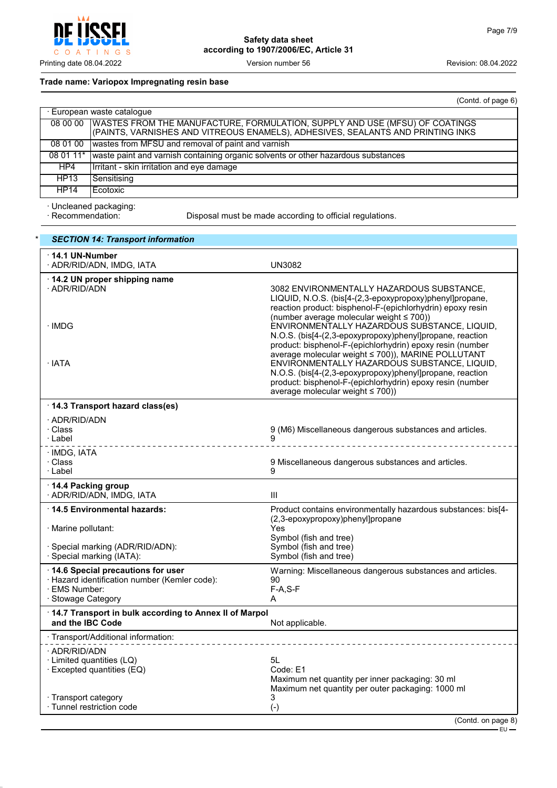

# **Trade name: Variopox Impregnating resin base**

|             | (Contd. of page 6)                                                                                                                                             |
|-------------|----------------------------------------------------------------------------------------------------------------------------------------------------------------|
|             | · European waste catalogue                                                                                                                                     |
| 08 00 00    | WASTES FROM THE MANUFACTURE, FORMULATION, SUPPLY AND USE (MFSU) OF COATINGS<br>(PAINTS, VARNISHES AND VITREOUS ENAMELS), ADHESIVES, SEALANTS AND PRINTING INKS |
| 08 01 00    | wastes from MFSU and removal of paint and varnish                                                                                                              |
| 08 01 11*   | waste paint and varnish containing organic solvents or other hazardous substances                                                                              |
| HP4         | Irritant - skin irritation and eye damage                                                                                                                      |
| HP13        | Sensitising                                                                                                                                                    |
| <b>HP14</b> | Ecotoxic                                                                                                                                                       |

· Uncleaned packaging:

Disposal must be made according to official regulations.

| <b>SECTION 14: Transport information</b>                                                                                  |                                                                                                                                                                                                                                                                                                                                                                                                                                                                                                                                                                                                                                                                        |
|---------------------------------------------------------------------------------------------------------------------------|------------------------------------------------------------------------------------------------------------------------------------------------------------------------------------------------------------------------------------------------------------------------------------------------------------------------------------------------------------------------------------------------------------------------------------------------------------------------------------------------------------------------------------------------------------------------------------------------------------------------------------------------------------------------|
| $\cdot$ 14.1 UN-Number<br>· ADR/RID/ADN, IMDG, IATA                                                                       | <b>UN3082</b>                                                                                                                                                                                                                                                                                                                                                                                                                                                                                                                                                                                                                                                          |
| 14.2 UN proper shipping name<br>· ADR/RID/ADN<br>· IMDG<br>$\cdot$ IATA                                                   | 3082 ENVIRONMENTALLY HAZARDOUS SUBSTANCE,<br>LIQUID, N.O.S. (bis[4-(2,3-epoxypropoxy)phenyl]propane,<br>reaction product: bisphenol-F-(epichlorhydrin) epoxy resin<br>(number average molecular weight $\leq 700$ ))<br>ENVIRONMENTALLY HAZARDOUS SUBSTANCE, LIQUID,<br>N.O.S. (bis[4-(2,3-epoxypropoxy)phenyl]propane, reaction<br>product: bisphenol-F-(epichlorhydrin) epoxy resin (number<br>average molecular weight ≤ 700)), MARINE POLLUTANT<br>ENVIRONMENTALLY HAZARDOUS SUBSTANCE, LIQUID,<br>N.O.S. (bis[4-(2,3-epoxypropoxy)phenyl]propane, reaction<br>product: bisphenol-F-(epichlorhydrin) epoxy resin (number<br>average molecular weight $\leq 700$ )) |
| · 14.3 Transport hazard class(es)                                                                                         |                                                                                                                                                                                                                                                                                                                                                                                                                                                                                                                                                                                                                                                                        |
| · ADR/RID/ADN<br>· Class<br>∴Label                                                                                        | 9 (M6) Miscellaneous dangerous substances and articles.<br>9<br>_________________                                                                                                                                                                                                                                                                                                                                                                                                                                                                                                                                                                                      |
| · IMDG, IATA<br>· Class<br>· Label                                                                                        | 9 Miscellaneous dangerous substances and articles.<br>9                                                                                                                                                                                                                                                                                                                                                                                                                                                                                                                                                                                                                |
| 14.4 Packing group<br>· ADR/RID/ADN, IMDG, IATA                                                                           | Ш                                                                                                                                                                                                                                                                                                                                                                                                                                                                                                                                                                                                                                                                      |
| ⋅14.5 Environmental hazards:                                                                                              | Product contains environmentally hazardous substances: bis[4-                                                                                                                                                                                                                                                                                                                                                                                                                                                                                                                                                                                                          |
| · Marine pollutant:                                                                                                       | (2,3-epoxypropoxy)phenyl]propane<br>Yes<br>Symbol (fish and tree)                                                                                                                                                                                                                                                                                                                                                                                                                                                                                                                                                                                                      |
| · Special marking (ADR/RID/ADN):<br>· Special marking (IATA):                                                             | Symbol (fish and tree)<br>Symbol (fish and tree)                                                                                                                                                                                                                                                                                                                                                                                                                                                                                                                                                                                                                       |
| 14.6 Special precautions for user<br>· Hazard identification number (Kemler code):<br>· EMS Number:<br>· Stowage Category | Warning: Miscellaneous dangerous substances and articles.<br>90<br>$F-A, S-F$<br>А                                                                                                                                                                                                                                                                                                                                                                                                                                                                                                                                                                                     |
| 14.7 Transport in bulk according to Annex II of Marpol<br>and the IBC Code                                                | Not applicable.                                                                                                                                                                                                                                                                                                                                                                                                                                                                                                                                                                                                                                                        |
| · Transport/Additional information:                                                                                       |                                                                                                                                                                                                                                                                                                                                                                                                                                                                                                                                                                                                                                                                        |
| · ADR/RID/ADN<br>$\cdot$ Limited quantities (LQ)<br>$\cdot$ Excepted quantities (EQ)                                      | 5L<br>Code: E1<br>Maximum net quantity per inner packaging: 30 ml<br>Maximum net quantity per outer packaging: 1000 ml                                                                                                                                                                                                                                                                                                                                                                                                                                                                                                                                                 |
| · Transport category<br>· Tunnel restriction code                                                                         | 3<br>$(-)$                                                                                                                                                                                                                                                                                                                                                                                                                                                                                                                                                                                                                                                             |
|                                                                                                                           | (Contdonn)                                                                                                                                                                                                                                                                                                                                                                                                                                                                                                                                                                                                                                                             |

(Contd. on page 8)  $-EU$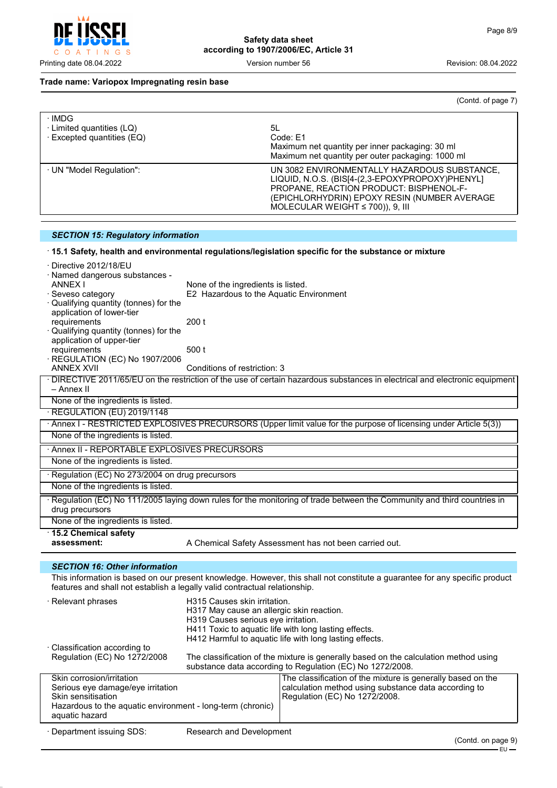

#### **Trade name: Variopox Impregnating resin base**

(Contd. of page 7)

| · IMDG<br>· Limited quantities (LQ)<br>$\cdot$ Excepted quantities (EQ) | 5L<br>Code: E1<br>Maximum net quantity per inner packaging: 30 ml<br>Maximum net quantity per outer packaging: 1000 ml                                                                                                              |
|-------------------------------------------------------------------------|-------------------------------------------------------------------------------------------------------------------------------------------------------------------------------------------------------------------------------------|
| · UN "Model Regulation":                                                | UN 3082 ENVIRONMENTALLY HAZARDOUS SUBSTANCE,<br>LIQUID, N.O.S. (BIS[4-(2,3-EPOXYPROPOXY)PHENYL]<br>PROPANE, REACTION PRODUCT: BISPHENOL-F-<br>(EPICHLORHYDRIN) EPOXY RESIN (NUMBER AVERAGE<br>MOLECULAR WEIGHT $\leq$ 700)), 9, III |

# *SECTION 15: Regulatory information*

# · **15.1 Safety, health and environmental regulations/legislation specific for the substance or mixture**

| · Directive 2012/18/EU                                                       |                                           |                                                                                                                                                   |
|------------------------------------------------------------------------------|-------------------------------------------|---------------------------------------------------------------------------------------------------------------------------------------------------|
| · Named dangerous substances -                                               |                                           |                                                                                                                                                   |
| <b>ANNEX I</b>                                                               | None of the ingredients is listed.        |                                                                                                                                                   |
| Seveso category                                                              | E2 Hazardous to the Aquatic Environment   |                                                                                                                                                   |
| Qualifying quantity (tonnes) for the<br>application of lower-tier            |                                           |                                                                                                                                                   |
| requirements                                                                 | 200t                                      |                                                                                                                                                   |
| Qualifying quantity (tonnes) for the                                         |                                           |                                                                                                                                                   |
| application of upper-tier                                                    |                                           |                                                                                                                                                   |
| requirements                                                                 | 500 t                                     |                                                                                                                                                   |
| REGULATION (EC) No 1907/2006                                                 |                                           |                                                                                                                                                   |
| <b>ANNEX XVII</b>                                                            | Conditions of restriction: 3              |                                                                                                                                                   |
| – Annex II                                                                   |                                           | · DIRECTIVE 2011/65/EU on the restriction of the use of certain hazardous substances in electrical and electronic equipment                       |
| None of the ingredients is listed.                                           |                                           |                                                                                                                                                   |
| · REGULATION (EU) 2019/1148                                                  |                                           |                                                                                                                                                   |
|                                                                              |                                           | · Annex I - RESTRICTED EXPLOSIVES PRECURSORS (Upper limit value for the purpose of licensing under Article 5(3))                                  |
| None of the ingredients is listed.                                           |                                           |                                                                                                                                                   |
| Annex II - REPORTABLE EXPLOSIVES PRECURSORS                                  |                                           |                                                                                                                                                   |
| None of the ingredients is listed.                                           |                                           |                                                                                                                                                   |
| Regulation (EC) No 273/2004 on drug precursors                               |                                           |                                                                                                                                                   |
| None of the ingredients is listed.                                           |                                           |                                                                                                                                                   |
|                                                                              |                                           |                                                                                                                                                   |
| drug precursors                                                              |                                           | · Regulation (EC) No 111/2005 laying down rules for the monitoring of trade between the Community and third countries in                          |
| None of the ingredients is listed.                                           |                                           |                                                                                                                                                   |
| 15.2 Chemical safety                                                         |                                           |                                                                                                                                                   |
| assessment:                                                                  |                                           | A Chemical Safety Assessment has not been carried out.                                                                                            |
|                                                                              |                                           |                                                                                                                                                   |
| <b>SECTION 16: Other information</b>                                         |                                           |                                                                                                                                                   |
| features and shall not establish a legally valid contractual relationship.   |                                           | This information is based on our present knowledge. However, this shall not constitute a guarantee for any specific product                       |
| · Relevant phrases                                                           | H315 Causes skin irritation.              |                                                                                                                                                   |
|                                                                              | H317 May cause an allergic skin reaction. |                                                                                                                                                   |
|                                                                              | H319 Causes serious eye irritation.       |                                                                                                                                                   |
|                                                                              |                                           | H411 Toxic to aquatic life with long lasting effects.                                                                                             |
|                                                                              |                                           | H412 Harmful to aquatic life with long lasting effects.                                                                                           |
| · Classification according to                                                |                                           |                                                                                                                                                   |
| Regulation (EC) No 1272/2008                                                 |                                           | The classification of the mixture is generally based on the calculation method using<br>substance data according to Regulation (EC) No 1272/2008. |
| Skin corrosion/irritation                                                    |                                           | The classification of the mixture is generally based on the                                                                                       |
| Serious eye damage/eye irritation                                            |                                           | calculation method using substance data according to                                                                                              |
| Skin sensitisation                                                           |                                           | Regulation (EC) No 1272/2008.                                                                                                                     |
| Hazardous to the aquatic environment - long-term (chronic)<br>aquatic hazard |                                           |                                                                                                                                                   |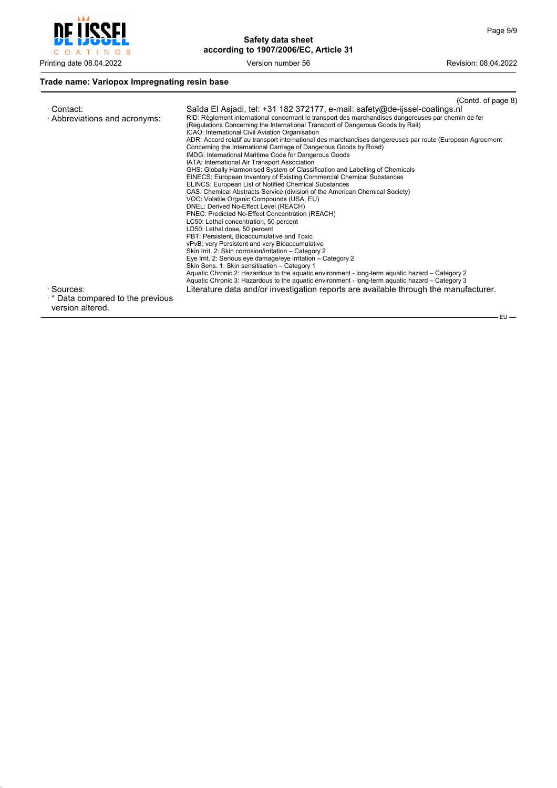$-EU$  —



**Safety data sheet according to 1907/2006/EC, Article 31**

# **Trade name: Variopox Impregnating resin base**

|                                                                                                                          | (Contd. of page 8)                                                                                                                                                                                                                                                                                                                                                                                                                                                                                                                                                                                                                                                                                                                                                                                                                                                                                                                                                                                                                                                                                                                                                                                                                                                                                                                                                                                                                                                                                                                                                                                                                                                                                               |
|--------------------------------------------------------------------------------------------------------------------------|------------------------------------------------------------------------------------------------------------------------------------------------------------------------------------------------------------------------------------------------------------------------------------------------------------------------------------------------------------------------------------------------------------------------------------------------------------------------------------------------------------------------------------------------------------------------------------------------------------------------------------------------------------------------------------------------------------------------------------------------------------------------------------------------------------------------------------------------------------------------------------------------------------------------------------------------------------------------------------------------------------------------------------------------------------------------------------------------------------------------------------------------------------------------------------------------------------------------------------------------------------------------------------------------------------------------------------------------------------------------------------------------------------------------------------------------------------------------------------------------------------------------------------------------------------------------------------------------------------------------------------------------------------------------------------------------------------------|
| · Contact:<br>· Abbreviations and acronyms:<br>· Sources:<br>$\cdot$ * Data compared to the previous<br>version altered. | Saïda El Asjadi, tel: +31 182 372177, e-mail: safety@de-ijssel-coatings.nl<br>RID: Règlement international concernant le transport des marchandises dangereuses par chemin de fer<br>(Regulations Concerning the International Transport of Dangerous Goods by Rail)<br>ICAO: International Civil Aviation Organisation<br>ADR: Accord relatif au transport international des marchandises dangereuses par route (European Agreement<br>Concerning the International Carriage of Dangerous Goods by Road)<br>IMDG: International Maritime Code for Dangerous Goods<br>IATA: International Air Transport Association<br>GHS: Globally Harmonised System of Classification and Labelling of Chemicals<br>EINECS: European Inventory of Existing Commercial Chemical Substances<br>ELINCS: European List of Notified Chemical Substances<br>CAS: Chemical Abstracts Service (division of the American Chemical Society)<br>VOC: Volatile Organic Compounds (USA, EU)<br>DNEL: Derived No-Effect Level (REACH)<br>PNEC: Predicted No-Effect Concentration (REACH)<br>LC50: Lethal concentration, 50 percent<br>LD50: Lethal dose, 50 percent<br>PBT: Persistent, Bioaccumulative and Toxic<br>vPvB: very Persistent and very Bioaccumulative<br>Skin Irrit. 2: Skin corrosion/irritation - Category 2<br>Eye Irrit. 2: Serious eye damage/eye irritation - Category 2<br>Skin Sens. 1: Skin sensitisation - Category 1<br>Aquatic Chronic 2: Hazardous to the aquatic environment - long-term aquatic hazard – Category 2<br>Aquatic Chronic 3: Hazardous to the aquatic environment - long-term aquatic hazard – Category 3<br>Literature data and/or investigation reports are available through the manufacturer. |
|                                                                                                                          |                                                                                                                                                                                                                                                                                                                                                                                                                                                                                                                                                                                                                                                                                                                                                                                                                                                                                                                                                                                                                                                                                                                                                                                                                                                                                                                                                                                                                                                                                                                                                                                                                                                                                                                  |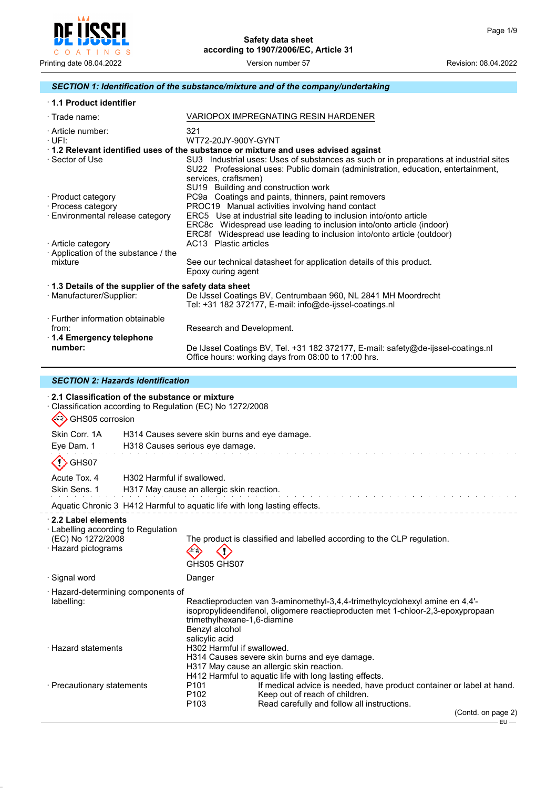

# *SECTION 1: Identification of the substance/mixture and of the company/undertaking*

| 1.1 Product identifier                                   |                                                                                                                                                                                                                     |  |
|----------------------------------------------------------|---------------------------------------------------------------------------------------------------------------------------------------------------------------------------------------------------------------------|--|
| $\cdot$ Trade name:                                      | VARIOPOX IMPREGNATING RESIN HARDENER                                                                                                                                                                                |  |
| · Article number:<br>∙UFI:                               | 321<br>WT72-20.JY-900Y-GYNT                                                                                                                                                                                         |  |
| · Sector of Use                                          | 1.2 Relevant identified uses of the substance or mixture and uses advised against<br>SU3 Industrial uses: Uses of substances as such or in preparations at industrial sites                                         |  |
|                                                          | SU22 Professional uses: Public domain (administration, education, entertainment,<br>services, craftsmen)<br>SU19 Building and construction work                                                                     |  |
| · Product category                                       | PC9a Coatings and paints, thinners, paint removers                                                                                                                                                                  |  |
| · Process category                                       | PROC19 Manual activities involving hand contact                                                                                                                                                                     |  |
| · Environmental release category                         | ERC5 Use at industrial site leading to inclusion into/onto article<br>ERC8c Widespread use leading to inclusion into/onto article (indoor)<br>ERC8f Widespread use leading to inclusion into/onto article (outdoor) |  |
| · Article category<br>Application of the substance / the | AC13 Plastic articles                                                                                                                                                                                               |  |
| mixture                                                  | See our technical datasheet for application details of this product.<br>Epoxy curing agent                                                                                                                          |  |
| 1.3 Details of the supplier of the safety data sheet     |                                                                                                                                                                                                                     |  |
| · Manufacturer/Supplier:                                 | De IJssel Coatings BV, Centrumbaan 960, NL 2841 MH Moordrecht<br>Tel: +31 182 372177, E-mail: info@de-ijssel-coatings.nl                                                                                            |  |
| · Further information obtainable                         |                                                                                                                                                                                                                     |  |
| from:                                                    | Research and Development.                                                                                                                                                                                           |  |
| ⋅ 1.4 Emergency telephone                                |                                                                                                                                                                                                                     |  |
| number:                                                  | De IJssel Coatings BV, Tel. +31 182 372177, E-mail: safety@de-ijssel-coatings.nl<br>Office hours: working days from 08:00 to 17:00 hrs.                                                                             |  |

#### *SECTION 2: Hazards identification*

| ⋅ 2.1 Classification of the substance or mixture<br>$\langle \cdot \rangle$<br>GHS05 corrosion        |                            | Classification according to Regulation (EC) No 1272/2008                                                                                                                                                                                 |
|-------------------------------------------------------------------------------------------------------|----------------------------|------------------------------------------------------------------------------------------------------------------------------------------------------------------------------------------------------------------------------------------|
|                                                                                                       |                            | Skin Corr. 1A H314 Causes severe skin burns and eye damage.                                                                                                                                                                              |
| Eye Dam. 1                                                                                            |                            | H318 Causes serious eye damage.                                                                                                                                                                                                          |
| GHS07                                                                                                 |                            |                                                                                                                                                                                                                                          |
| Acute Tox, 4                                                                                          | H302 Harmful if swallowed. |                                                                                                                                                                                                                                          |
| Skin Sens, 1                                                                                          |                            | H317 May cause an allergic skin reaction.                                                                                                                                                                                                |
|                                                                                                       |                            | Aquatic Chronic 3 H412 Harmful to aquatic life with long lasting effects.                                                                                                                                                                |
| 2.2 Label elements<br>· Labelling according to Regulation<br>(EC) No 1272/2008<br>· Hazard pictograms |                            | The product is classified and labelled according to the CLP regulation.<br>GHS05 GHS07                                                                                                                                                   |
| · Signal word                                                                                         |                            | Danger                                                                                                                                                                                                                                   |
| · Hazard-determining components of<br>labelling:                                                      |                            | Reactieproducten van 3-aminomethyl-3,4,4-trimethylcyclohexyl amine en 4,4'-<br>isopropylideendifenol, oligomere reactieproducten met 1-chloor-2,3-epoxypropaan<br>trimethylhexane-1,6-diamine<br>Benzyl alcohol<br>salicylic acid        |
| · Hazard statements                                                                                   |                            | H302 Harmful if swallowed.<br>H314 Causes severe skin burns and eye damage.<br>H317 May cause an allergic skin reaction.<br>H412 Harmful to aquatic life with long lasting effects.                                                      |
| · Precautionary statements                                                                            |                            | If medical advice is needed, have product container or label at hand.<br>P <sub>101</sub><br>P <sub>102</sub><br>Keep out of reach of children.<br>Read carefully and follow all instructions.<br>P <sub>103</sub><br>(Contd. on page 2) |
|                                                                                                       |                            |                                                                                                                                                                                                                                          |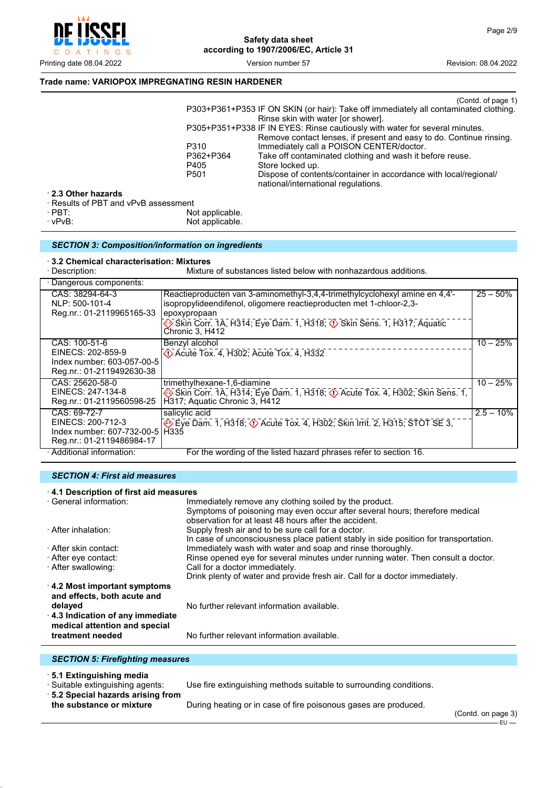

Printing date 08.04.2022 Version number 57 Revision: 08.04.2022

### **Trade name: VARIOPOX IMPREGNATING RESIN HARDENER**

|                 | (Contd. of page 1)                                                                                                        |
|-----------------|---------------------------------------------------------------------------------------------------------------------------|
|                 | P303+P361+P353 IF ON SKIN (or hair): Take off immediately all contaminated clothing.<br>Rinse skin with water for shower. |
|                 | P305+P351+P338 IF IN EYES: Rinse cautiously with water for several minutes.                                               |
|                 | Remove contact lenses, if present and easy to do. Continue rinsing.                                                       |
| P310            | Immediately call a POISON CENTER/doctor.                                                                                  |
| P362+P364       | Take off contaminated clothing and wash it before reuse.                                                                  |
| P405            | Store locked up.                                                                                                          |
| P501            | Dispose of contents/container in accordance with local/regional/<br>national/international regulations.                   |
| wPvR assessment |                                                                                                                           |

· **2.3 Other hazards**

· Results of PBT and vPvB assessment

| $\cdot$ PBT: | Not applicable. |
|--------------|-----------------|
| ∴vPvB∶       | Not applicable. |

| · vPvB: | Not applicable. |
|---------|-----------------|
|         |                 |

#### *SECTION 3: Composition/information on ingredients*

· **3.2 Chemical characterisation: Mixtures**

| · Description:                                                                                    | Mixture of substances listed below with nonhazardous additions.                                                                                                                                                                                                           |              |
|---------------------------------------------------------------------------------------------------|---------------------------------------------------------------------------------------------------------------------------------------------------------------------------------------------------------------------------------------------------------------------------|--------------|
| · Dangerous components:                                                                           |                                                                                                                                                                                                                                                                           |              |
| CAS: 38294-64-3<br>NLP: 500-101-4<br>Reg.nr.: 01-2119965165-33                                    | Reactieproducten van 3-aminomethyl-3,4,4-trimethylcyclohexyl amine en 4,4'-<br>isopropylideendifenol, oligomere reactieproducten met 1-chloor-2,3-<br>epoxypropaan<br>Skin Corr. 1A, H314; Eye Dam. 1, H318; $\circled{S}$ Skin Sens. 1, H317; Aquatic<br>Chronic 3, H412 | $25 - 50%$   |
| CAS: 100-51-6<br>EINECS: 202-859-9<br>Index number: 603-057-00-5<br>Reg.nr.: 01-2119492630-38     | Benzyl alcohol<br>$\Diamond$ Acute Tox. 4, H302; Acute Tox. 4, H332                                                                                                                                                                                                       | $10 - 25%$   |
| CAS: 25620-58-0<br>EINECS: 247-134-8<br>Reg.nr.: 01-2119560598-25                                 | trimethylhexane-1,6-diamine<br>Skin Corr. 1A, H314; Eye Dam. 1, H318; 1) Acute Tox. 4, H302; Skin Sens. 1,<br>H317; Aquatic Chronic 3, H412                                                                                                                               | $10 - 25%$   |
| CAS: 69-72-7<br>EINECS: 200-712-3<br>Index number: 607-732-00-51H335<br>Reg.nr.: 01-2119486984-17 | salicylic acid<br>Eye Dam. 1, H318; $\Diamond$ Acute Tox. 4, H302; Skin Irrit. 2, H315; STOT SE 3,                                                                                                                                                                        | $2.5 - 10\%$ |
| · Additional information:                                                                         | For the wording of the listed hazard phrases refer to section 16.                                                                                                                                                                                                         |              |

#### *SECTION 4: First aid measures*

| 4.1 Description of first aid measures |                                                                                      |  |  |
|---------------------------------------|--------------------------------------------------------------------------------------|--|--|
| · General information:                | Immediately remove any clothing soiled by the product.                               |  |  |
|                                       | Symptoms of poisoning may even occur after several hours; therefore medical          |  |  |
|                                       | observation for at least 48 hours after the accident.                                |  |  |
| · After inhalation:                   | Supply fresh air and to be sure call for a doctor.                                   |  |  |
|                                       | In case of unconsciousness place patient stably in side position for transportation. |  |  |
| · After skin contact:                 | Immediately wash with water and soap and rinse thoroughly.                           |  |  |
| ⋅ After eye contact:                  | Rinse opened eye for several minutes under running water. Then consult a doctor.     |  |  |
| · After swallowing:                   | Call for a doctor immediately.                                                       |  |  |
|                                       | Drink plenty of water and provide fresh air. Call for a doctor immediately.          |  |  |
| $\cdot$ 4.2 Most important symptoms   |                                                                                      |  |  |
| and effects, both acute and           |                                                                                      |  |  |
| delayed                               | No further relevant information available.                                           |  |  |
| 4.3 Indication of any immediate       |                                                                                      |  |  |
| medical attention and special         |                                                                                      |  |  |
| treatment needed                      | No further relevant information available.                                           |  |  |

# *SECTION 5: Firefighting measures*

· **5.1 Extinguishing media**

· Suitable extinguishing agents: Use fire extinguishing methods suitable to surrounding conditions.

· **5.2 Special hazards arising from**

During heating or in case of fire poisonous gases are produced.

(Contd. on page 3)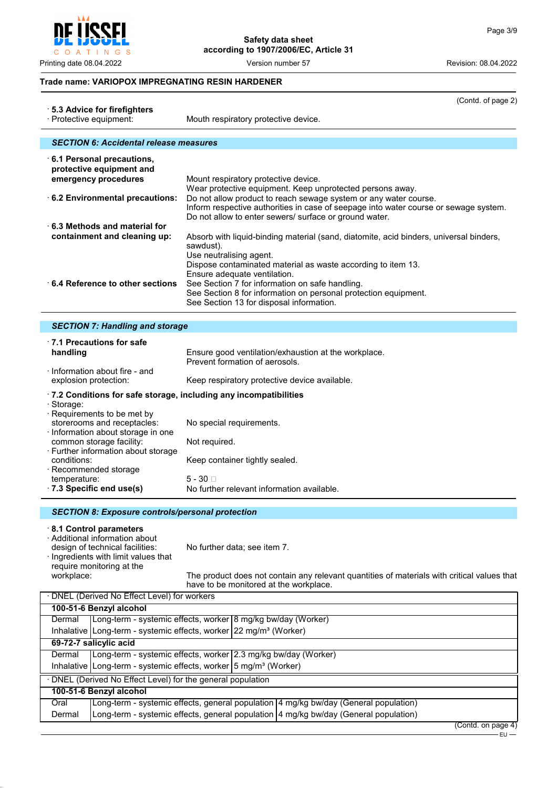$\circ$ INGS  $\overline{A}$  $T$ 

 $\overline{a}$ 

**Safety data sheet according to 1907/2006/EC, Article 31**

Printing date 08.04.2022 Version number 57 Revision: 08.04.2022

#### **Trade name: VARIOPOX IMPREGNATING RESIN HARDENER**

|                                                               | (Contd. of page 2)                                                                                                                                                                                                 |
|---------------------------------------------------------------|--------------------------------------------------------------------------------------------------------------------------------------------------------------------------------------------------------------------|
| ⋅ 5.3 Advice for firefighters<br>· Protective equipment:      | Mouth respiratory protective device.                                                                                                                                                                               |
|                                                               |                                                                                                                                                                                                                    |
| <b>SECTION 6: Accidental release measures</b>                 |                                                                                                                                                                                                                    |
| $\cdot$ 6.1 Personal precautions,<br>protective equipment and |                                                                                                                                                                                                                    |
| emergency procedures                                          | Mount respiratory protective device.<br>Wear protective equipment. Keep unprotected persons away.                                                                                                                  |
| 6.2 Environmental precautions:                                | Do not allow product to reach sewage system or any water course.<br>Inform respective authorities in case of seepage into water course or sewage system.<br>Do not allow to enter sewers/ surface or ground water. |
| $\cdot$ 6.3 Methods and material for                          |                                                                                                                                                                                                                    |
| containment and cleaning up:                                  | Absorb with liquid-binding material (sand, diatomite, acid binders, universal binders,<br>sawdust).<br>Use neutralising agent.                                                                                     |
| 6.4 Reference to other sections                               | Dispose contaminated material as waste according to item 13.<br>Ensure adequate ventilation.<br>See Section 7 for information on safe handling.<br>See Section 8 for information on personal protection equipment. |
|                                                               | See Section 13 for disposal information.                                                                                                                                                                           |

# *SECTION 7: Handling and storage*

| ⋅7.1 Precautions for safe                                                                                                   |                                                                                        |
|-----------------------------------------------------------------------------------------------------------------------------|----------------------------------------------------------------------------------------|
| handling                                                                                                                    | Ensure good ventilation/exhaustion at the workplace.<br>Prevent formation of aerosols. |
| Information about fire - and<br>explosion protection:                                                                       | Keep respiratory protective device available.                                          |
| $\cdot$ 7.2 Conditions for safe storage, including any incompatibilities<br>· Storage:<br>$\cdot$ Requirements to be met by |                                                                                        |
| storerooms and receptacles:<br>Information about storage in one                                                             | No special requirements.                                                               |
| common storage facility:<br>⋅ Further information about storage                                                             | Not required.                                                                          |
| conditions:<br>· Recommended storage                                                                                        | Keep container tightly sealed.                                                         |
| temperature:<br>$\cdot$ 7.3 Specific end use(s)                                                                             | $5 - 30$ $\Box$<br>No further relevant information available.                          |

#### *SECTION 8: Exposure controls/personal protection*

#### · **8.1 Control parameters**

· Additional information about design of technical facilities: No further data; see item 7. · Ingredients with limit values that require monitoring at the workplace:

The product does not contain any relevant quantities of materials with critical values that have to be monitored at the workplace.

| · DNEL (Derived No Effect Level) for workers                                                     |  |
|--------------------------------------------------------------------------------------------------|--|
| 100-51-6 Benzyl alcohol                                                                          |  |
| Long-term - systemic effects, worker 8 mg/kg bw/day (Worker)<br>Dermal                           |  |
| Inhalative   Long-term - systemic effects, worker $22 \text{ mg/m}^3$ (Worker)                   |  |
| 69-72-7 salicylic acid                                                                           |  |
| Long-term - systemic effects, worker 2.3 mg/kg bw/day (Worker)<br>Dermal                         |  |
| Inhalative   Long-term - systemic effects, worker $\frac{1}{5}$ mg/m <sup>3</sup> (Worker)       |  |
| · DNEL (Derived No Effect Level) for the general population                                      |  |
| 100-51-6 Benzyl alcohol                                                                          |  |
| Long-term - systemic effects, general population 4 mg/kg bw/day (General population)<br>Oral     |  |
| Long-term - systemic effects, general population   4 mg/kg bw/day (General population)<br>Dermal |  |

<sup>(</sup>Contd. on page 4)

٦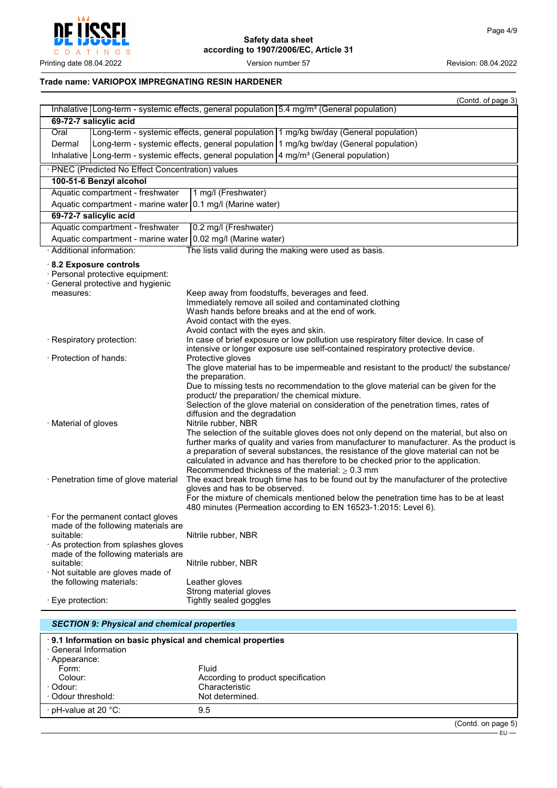

# **Trade name: VARIOPOX IMPREGNATING RESIN HARDENER**

|                        |                                                                             | (Contd. of page 3)                                                                                                                                                     |
|------------------------|-----------------------------------------------------------------------------|------------------------------------------------------------------------------------------------------------------------------------------------------------------------|
|                        |                                                                             | Inhalative Long-term - systemic effects, general population $5.4 \text{ mg/m}^3$ (General population)                                                                  |
|                        | 69-72-7 salicylic acid                                                      |                                                                                                                                                                        |
| Oral                   |                                                                             | Long-term - systemic effects, general population   1 mg/kg bw/day (General population)                                                                                 |
| Dermal                 |                                                                             | Long-term - systemic effects, general population 1 mg/kg bw/day (General population)                                                                                   |
|                        |                                                                             | Inhalative   Long-term - systemic effects, general population   4 mg/m <sup>3</sup> (General population)                                                               |
|                        | · PNEC (Predicted No Effect Concentration) values                           |                                                                                                                                                                        |
|                        | 100-51-6 Benzyl alcohol                                                     |                                                                                                                                                                        |
|                        | Aquatic compartment - freshwater                                            | 1 mg/l (Freshwater)                                                                                                                                                    |
|                        |                                                                             | Aquatic compartment - marine water 0.1 mg/l (Marine water)                                                                                                             |
|                        | 69-72-7 salicylic acid                                                      |                                                                                                                                                                        |
|                        | Aquatic compartment - freshwater                                            | 0.2 mg/l (Freshwater)                                                                                                                                                  |
|                        |                                                                             | Aquatic compartment - marine water 0.02 mg/l (Marine water)                                                                                                            |
|                        | · Additional information:                                                   | The lists valid during the making were used as basis.                                                                                                                  |
|                        | 8.2 Exposure controls                                                       |                                                                                                                                                                        |
|                        | · Personal protective equipment:                                            |                                                                                                                                                                        |
|                        | · General protective and hygienic                                           |                                                                                                                                                                        |
| measures:              |                                                                             | Keep away from foodstuffs, beverages and feed.<br>Immediately remove all soiled and contaminated clothing                                                              |
|                        |                                                                             | Wash hands before breaks and at the end of work.                                                                                                                       |
|                        |                                                                             | Avoid contact with the eyes.                                                                                                                                           |
|                        |                                                                             | Avoid contact with the eyes and skin.                                                                                                                                  |
|                        | · Respiratory protection:                                                   | In case of brief exposure or low pollution use respiratory filter device. In case of<br>intensive or longer exposure use self-contained respiratory protective device. |
| · Protection of hands: |                                                                             | Protective gloves                                                                                                                                                      |
|                        |                                                                             | The glove material has to be impermeable and resistant to the product/ the substance/                                                                                  |
|                        |                                                                             | the preparation.<br>Due to missing tests no recommendation to the glove material can be given for the                                                                  |
|                        |                                                                             | product/ the preparation/ the chemical mixture.                                                                                                                        |
|                        |                                                                             | Selection of the glove material on consideration of the penetration times, rates of                                                                                    |
|                        |                                                                             | diffusion and the degradation                                                                                                                                          |
| · Material of gloves   |                                                                             | Nitrile rubber, NBR<br>The selection of the suitable gloves does not only depend on the material, but also on                                                          |
|                        |                                                                             | further marks of quality and varies from manufacturer to manufacturer. As the product is                                                                               |
|                        |                                                                             | a preparation of several substances, the resistance of the glove material can not be                                                                                   |
|                        |                                                                             | calculated in advance and has therefore to be checked prior to the application.                                                                                        |
|                        |                                                                             | Recommended thickness of the material: $\geq 0.3$ mm                                                                                                                   |
|                        | · Penetration time of glove material                                        | The exact break trough time has to be found out by the manufacturer of the protective<br>gloves and has to be observed.                                                |
|                        |                                                                             | For the mixture of chemicals mentioned below the penetration time has to be at least                                                                                   |
|                        |                                                                             | 480 minutes (Permeation according to EN 16523-1:2015: Level 6).                                                                                                        |
|                        | For the permanent contact gloves                                            |                                                                                                                                                                        |
|                        | made of the following materials are                                         |                                                                                                                                                                        |
| suitable:              |                                                                             | Nitrile rubber, NBR                                                                                                                                                    |
|                        | · As protection from splashes gloves<br>made of the following materials are |                                                                                                                                                                        |
| suitable:              |                                                                             | Nitrile rubber, NBR                                                                                                                                                    |
|                        | · Not suitable are gloves made of                                           |                                                                                                                                                                        |
|                        | the following materials:                                                    | Leather gloves                                                                                                                                                         |
|                        |                                                                             | Strong material gloves                                                                                                                                                 |
| · Eye protection:      |                                                                             | Tightly sealed goggles                                                                                                                                                 |

| <b>SECTION 9: Physical and chemical properties</b> |                                                           |                     |
|----------------------------------------------------|-----------------------------------------------------------|---------------------|
| · General Information<br>· Appearance:             | 9.1 Information on basic physical and chemical properties |                     |
| Form:<br>Colour:                                   | <b>Fluid</b><br>According to product specification        |                     |
| ∴Odour:                                            | Characteristic                                            |                     |
| Odour threshold:                                   | Not determined.                                           |                     |
| ⋅ pH-value at 20 °C:                               | 9.5                                                       |                     |
|                                                    |                                                           | $(Constant \cap B)$ |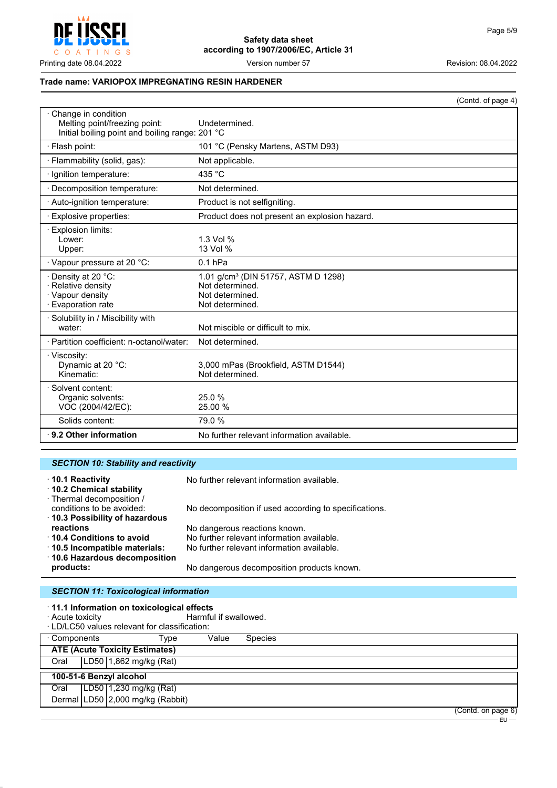

#### **Trade name: VARIOPOX IMPREGNATING RESIN HARDENER**

|                                                                                                         |                                                                                                          | (Contd. of page 4) |
|---------------------------------------------------------------------------------------------------------|----------------------------------------------------------------------------------------------------------|--------------------|
| Change in condition<br>Melting point/freezing point:<br>Initial boiling point and boiling range: 201 °C | Undetermined.                                                                                            |                    |
| · Flash point:                                                                                          | 101 °C (Pensky Martens, ASTM D93)                                                                        |                    |
| · Flammability (solid, gas):                                                                            | Not applicable.                                                                                          |                    |
| · Ignition temperature:                                                                                 | 435 °C                                                                                                   |                    |
| · Decomposition temperature:                                                                            | Not determined.                                                                                          |                    |
| · Auto-ignition temperature:                                                                            | Product is not selfigniting.                                                                             |                    |
| Explosive properties:                                                                                   | Product does not present an explosion hazard.                                                            |                    |
| · Explosion limits:<br>Lower:<br>Upper:                                                                 | 1.3 Vol %<br>13 Vol %                                                                                    |                    |
| · Vapour pressure at 20 °C:                                                                             | $0.1$ hPa                                                                                                |                    |
| · Density at 20 °C:<br>· Relative density<br>· Vapour density<br>· Evaporation rate                     | 1.01 g/cm <sup>3</sup> (DIN 51757, ASTM D 1298)<br>Not determined.<br>Not determined.<br>Not determined. |                    |
| · Solubility in / Miscibility with<br>water:                                                            | Not miscible or difficult to mix.                                                                        |                    |
| · Partition coefficient: n-octanol/water:                                                               | Not determined.                                                                                          |                    |
| · Viscosity:<br>Dynamic at 20 °C:<br>Kinematic:                                                         | 3,000 mPas (Brookfield, ASTM D1544)<br>Not determined.                                                   |                    |
| · Solvent content:<br>Organic solvents:<br>VOC (2004/42/EC):                                            | 25.0%<br>25.00 %                                                                                         |                    |
| Solids content:                                                                                         | 79.0%                                                                                                    |                    |
| ⋅ 9.2 Other information                                                                                 | No further relevant information available.                                                               |                    |

| <b>SECTION 10: Stability and reactivity</b>                              |                                                       |  |
|--------------------------------------------------------------------------|-------------------------------------------------------|--|
| ⋅10.1 Reactivity<br>10.2 Chemical stability<br>· Thermal decomposition / | No further relevant information available.            |  |
| conditions to be avoided:<br>10.3 Possibility of hazardous               | No decomposition if used according to specifications. |  |
| reactions                                                                | No dangerous reactions known.                         |  |
| ⋅ 10.4 Conditions to avoid                                               | No further relevant information available.            |  |
| $\cdot$ 10.5 Incompatible materials:<br>⋅ 10.6 Hazardous decomposition   | No further relevant information available.            |  |
| products:                                                                | No dangerous decomposition products known.            |  |

# *SECTION 11: Toxicological information*

- · **11.1 Information on toxicological effects**
- · Acute toxicity **Acute is a set of the CO** Harmful if swallowed.

|              | ⋅LD/LC50 values relevant for classification: |       |                |                    |
|--------------|----------------------------------------------|-------|----------------|--------------------|
| ⋅ Components | Tvpe                                         | Value | <b>Species</b> |                    |
|              | <b>ATE (Acute Toxicity Estimates)</b>        |       |                |                    |
| Oral         | LD50 1,862 mg/kg (Rat)                       |       |                |                    |
|              | 100-51-6 Benzyl alcohol                      |       |                |                    |
| Oral         | LD50 1,230 mg/kg (Rat)                       |       |                |                    |
|              | Dermal LD50 2,000 mg/kg (Rabbit)             |       |                |                    |
|              |                                              |       |                | (Contd. on page 6) |

EU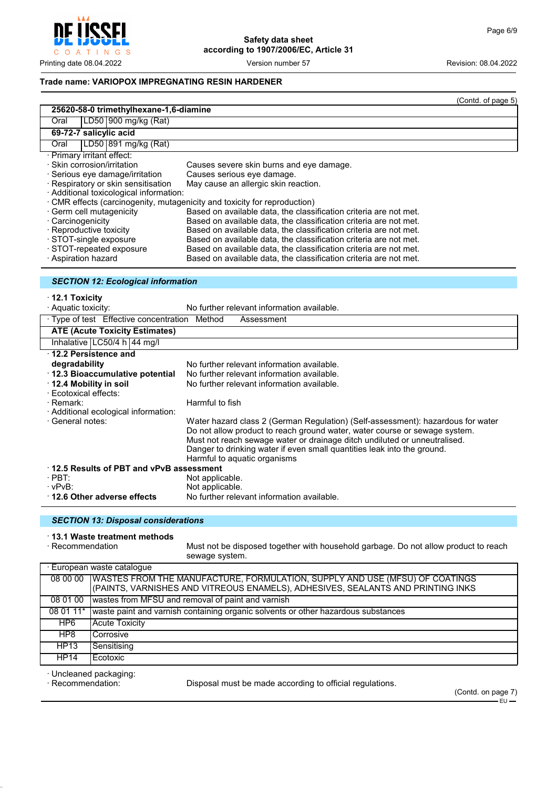$\mathsf{I} \mathsf{N}$  G  $\circ$  $\overline{A}$  $T$ 

**Safety data sheet according to 1907/2006/EC, Article 31**

Printing date 08.04.2022 Version number 57 Revision: 08.04.2022

#### **Trade name: VARIOPOX IMPREGNATING RESIN HARDENER**

|                                                                         |                                                                   | (Contd. of page 5) |
|-------------------------------------------------------------------------|-------------------------------------------------------------------|--------------------|
| 25620-58-0 trimethylhexane-1,6-diamine                                  |                                                                   |                    |
| LD50 900 mg/kg (Rat)<br>Oral                                            |                                                                   |                    |
| 69-72-7 salicylic acid                                                  |                                                                   |                    |
| LD50   891 mg/kg (Rat)<br>Oral                                          |                                                                   |                    |
| · Primary irritant effect:                                              |                                                                   |                    |
| · Skin corrosion/irritation                                             | Causes severe skin burns and eye damage.                          |                    |
| · Serious eye damage/irritation                                         | Causes serious eye damage.                                        |                    |
| · Respiratory or skin sensitisation                                     | May cause an allergic skin reaction.                              |                    |
| · Additional toxicological information:                                 |                                                                   |                    |
| CMR effects (carcinogenity, mutagenicity and toxicity for reproduction) |                                                                   |                    |
| · Germ cell mutagenicity                                                | Based on available data, the classification criteria are not met. |                    |
| · Carcinogenicity                                                       | Based on available data, the classification criteria are not met. |                    |
| · Reproductive toxicity                                                 | Based on available data, the classification criteria are not met. |                    |
| · STOT-single exposure                                                  | Based on available data, the classification criteria are not met. |                    |
| · STOT-repeated exposure                                                | Based on available data, the classification criteria are not met. |                    |
| · Aspiration hazard                                                     | Based on available data, the classification criteria are not met. |                    |

# *SECTION 12: Ecological information*

· **12.1 Toxicity**

| · Aquatic toxicity:                           | No further relevant information available.                                                                                                              |
|-----------------------------------------------|---------------------------------------------------------------------------------------------------------------------------------------------------------|
| · Type of test Effective concentration Method | Assessment                                                                                                                                              |
| <b>ATE (Acute Toxicity Estimates)</b>         |                                                                                                                                                         |
| Inhalative $LC50/4 h$   44 mg/l               |                                                                                                                                                         |
| $\cdot$ 12.2 Persistence and                  |                                                                                                                                                         |
| degradability                                 | No further relevant information available.                                                                                                              |
| 12.3 Bioaccumulative potential                | No further relevant information available.                                                                                                              |
| ⋅ 12.4 Mobility in soil                       | No further relevant information available.                                                                                                              |
| · Ecotoxical effects:                         |                                                                                                                                                         |
| · Remark:                                     | Harmful to fish                                                                                                                                         |
| · Additional ecological information:          |                                                                                                                                                         |
| · General notes:                              | Water hazard class 2 (German Regulation) (Self-assessment): hazardous for water                                                                         |
|                                               | Do not allow product to reach ground water, water course or sewage system.<br>Must not reach sewage water or drainage ditch undiluted or unneutralised. |
|                                               | Danger to drinking water if even small quantities leak into the ground.                                                                                 |
|                                               | Harmful to aquatic organisms                                                                                                                            |
| 12.5 Results of PBT and vPvB assessment       |                                                                                                                                                         |
| $\cdot$ PBT:                                  | Not applicable.                                                                                                                                         |
| $\cdot$ vPvB:                                 | Not applicable.                                                                                                                                         |
| ⋅12.6 Other adverse effects                   | No further relevant information available.                                                                                                              |

#### *SECTION 13: Disposal considerations*

# · **13.1 Waste treatment methods**

Must not be disposed together with household garbage. Do not allow product to reach sewage system.

|             | · European waste catalogue                                                             |
|-------------|----------------------------------------------------------------------------------------|
|             | 08 00 00   WASTES FROM THE MANUFACTURE, FORMULATION, SUPPLY AND USE (MFSU) OF COATINGS |
|             | (PAINTS, VARNISHES AND VITREOUS ENAMELS), ADHESIVES, SEALANTS AND PRINTING INKS        |
| 08 01 00    | wastes from MFSU and removal of paint and varnish                                      |
| 08 01 11*   | waste paint and varnish containing organic solvents or other hazardous substances      |
| HP6         | Acute Toxicity                                                                         |
| HP8         | Corrosive                                                                              |
| HP13        | Sensitisina                                                                            |
| <b>HP14</b> | Ecotoxic                                                                               |
|             |                                                                                        |

· Uncleaned packaging:

Disposal must be made according to official regulations.

(Contd. on page 7) – E∪ –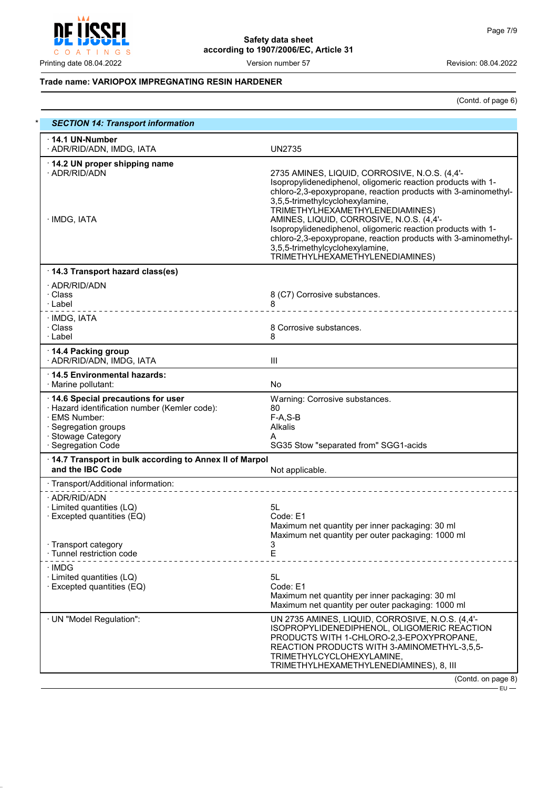

# **Trade name: VARIOPOX IMPREGNATING RESIN HARDENER**

(Contd. of page 6)

| <b>SECTION 14: Transport information</b>                                                                                                                                |                                                                                                                                                                                                                                                                                                                                                                                                                                                                                                           |
|-------------------------------------------------------------------------------------------------------------------------------------------------------------------------|-----------------------------------------------------------------------------------------------------------------------------------------------------------------------------------------------------------------------------------------------------------------------------------------------------------------------------------------------------------------------------------------------------------------------------------------------------------------------------------------------------------|
| 14.1 UN-Number<br>· ADR/RID/ADN, IMDG, IATA                                                                                                                             | <b>UN2735</b>                                                                                                                                                                                                                                                                                                                                                                                                                                                                                             |
| 14.2 UN proper shipping name<br>· ADR/RID/ADN<br>· IMDG, IATA                                                                                                           | 2735 AMINES, LIQUID, CORROSIVE, N.O.S. (4,4'-<br>Isopropylidenediphenol, oligomeric reaction products with 1-<br>chloro-2,3-epoxypropane, reaction products with 3-aminomethyl-<br>3,5,5-trimethylcyclohexylamine,<br>TRIMETHYLHEXAMETHYLENEDIAMINES)<br>AMINES, LIQUID, CORROSIVE, N.O.S. (4,4'-<br>Isopropylidenediphenol, oligomeric reaction products with 1-<br>chloro-2,3-epoxypropane, reaction products with 3-aminomethyl-<br>3,5,5-trimethylcyclohexylamine,<br>TRIMETHYLHEXAMETHYLENEDIAMINES) |
| 14.3 Transport hazard class(es)                                                                                                                                         |                                                                                                                                                                                                                                                                                                                                                                                                                                                                                                           |
| · ADR/RID/ADN<br>· Class<br>· Label<br>_ _ _ _ _ _ _ _ <i>_ _</i> _ _ _ _ _                                                                                             | 8 (C7) Corrosive substances.<br>8<br>----------------                                                                                                                                                                                                                                                                                                                                                                                                                                                     |
| · IMDG, IATA<br>· Class<br>∴Label                                                                                                                                       | 8 Corrosive substances.<br>8                                                                                                                                                                                                                                                                                                                                                                                                                                                                              |
| 14.4 Packing group<br>· ADR/RID/ADN, IMDG, IATA                                                                                                                         | Ш                                                                                                                                                                                                                                                                                                                                                                                                                                                                                                         |
| ⋅14.5 Environmental hazards:<br>· Marine pollutant:                                                                                                                     | No                                                                                                                                                                                                                                                                                                                                                                                                                                                                                                        |
| 14.6 Special precautions for user<br>· Hazard identification number (Kemler code):<br>· EMS Number:<br>· Segregation groups<br>· Stowage Category<br>· Segregation Code | Warning: Corrosive substances.<br>80<br>$F-A, S-B$<br>Alkalis<br>A<br>SG35 Stow "separated from" SGG1-acids                                                                                                                                                                                                                                                                                                                                                                                               |
| 14.7 Transport in bulk according to Annex II of Marpol<br>and the IBC Code                                                                                              | Not applicable.                                                                                                                                                                                                                                                                                                                                                                                                                                                                                           |
| · Transport/Additional information:                                                                                                                                     |                                                                                                                                                                                                                                                                                                                                                                                                                                                                                                           |
| · ADR/RID/ADN<br>· Limited quantities (LQ)<br>· Excepted quantities (EQ)<br>· Transport category                                                                        | 5L<br>Code: E1<br>Maximum net quantity per inner packaging: 30 ml<br>Maximum net quantity per outer packaging: 1000 ml<br>3                                                                                                                                                                                                                                                                                                                                                                               |
| · Tunnel restriction code                                                                                                                                               | Е                                                                                                                                                                                                                                                                                                                                                                                                                                                                                                         |
| · IMDG<br>· Limited quantities (LQ)<br>$\cdot$ Excepted quantities (EQ)                                                                                                 | 5L<br>Code: E1<br>Maximum net quantity per inner packaging: 30 ml<br>Maximum net quantity per outer packaging: 1000 ml                                                                                                                                                                                                                                                                                                                                                                                    |
| · UN "Model Regulation":                                                                                                                                                | UN 2735 AMINES, LIQUID, CORROSIVE, N.O.S. (4,4'-<br>ISOPROPYLIDENEDIPHENOL, OLIGOMERIC REACTION<br>PRODUCTS WITH 1-CHLORO-2,3-EPOXYPROPANE,<br>REACTION PRODUCTS WITH 3-AMINOMETHYL-3,5,5-<br>TRIMETHYLCYCLOHEXYLAMINE,<br>TRIMETHYLHEXAMETHYLENEDIAMINES), 8, III                                                                                                                                                                                                                                        |
|                                                                                                                                                                         | (Contd. on page 8)                                                                                                                                                                                                                                                                                                                                                                                                                                                                                        |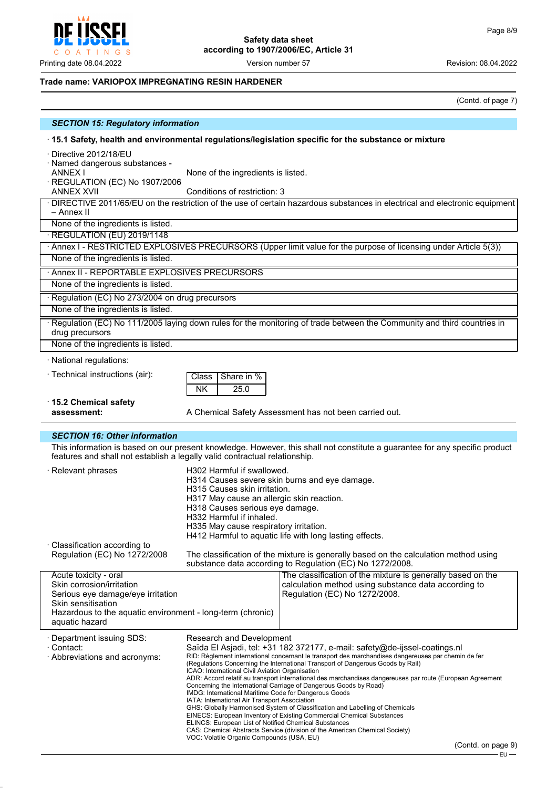

# **Trade name: VARIOPOX IMPREGNATING RESIN HARDENER**

(Contd. of page 7)

| <b>SECTION 15: Regulatory information</b>                                                                                                                                                                 |                                                                                                                                                                                                                                                                                                                                                                                                                                                                                                                                                                                                                                                                                                                                                                                                                                                                                                                                                                                               |
|-----------------------------------------------------------------------------------------------------------------------------------------------------------------------------------------------------------|-----------------------------------------------------------------------------------------------------------------------------------------------------------------------------------------------------------------------------------------------------------------------------------------------------------------------------------------------------------------------------------------------------------------------------------------------------------------------------------------------------------------------------------------------------------------------------------------------------------------------------------------------------------------------------------------------------------------------------------------------------------------------------------------------------------------------------------------------------------------------------------------------------------------------------------------------------------------------------------------------|
| 15.1 Safety, health and environmental regulations/legislation specific for the substance or mixture                                                                                                       |                                                                                                                                                                                                                                                                                                                                                                                                                                                                                                                                                                                                                                                                                                                                                                                                                                                                                                                                                                                               |
| · Directive 2012/18/EU<br>· Named dangerous substances -<br><b>ANNEX I</b><br>· REGULATION (EC) No 1907/2006<br><b>ANNEX XVII</b>                                                                         | None of the ingredients is listed.<br>Conditions of restriction: 3                                                                                                                                                                                                                                                                                                                                                                                                                                                                                                                                                                                                                                                                                                                                                                                                                                                                                                                            |
| · DIRECTIVE 2011/65/EU on the restriction of the use of certain hazardous substances in electrical and electronic equipment<br>– Annex II<br>None of the ingredients is listed.                           |                                                                                                                                                                                                                                                                                                                                                                                                                                                                                                                                                                                                                                                                                                                                                                                                                                                                                                                                                                                               |
| · REGULATION (EU) 2019/1148                                                                                                                                                                               |                                                                                                                                                                                                                                                                                                                                                                                                                                                                                                                                                                                                                                                                                                                                                                                                                                                                                                                                                                                               |
| · Annex I - RESTRICTED EXPLOSIVES PRECURSORS (Upper limit value for the purpose of licensing under Article 5(3))                                                                                          |                                                                                                                                                                                                                                                                                                                                                                                                                                                                                                                                                                                                                                                                                                                                                                                                                                                                                                                                                                                               |
| None of the ingredients is listed.                                                                                                                                                                        |                                                                                                                                                                                                                                                                                                                                                                                                                                                                                                                                                                                                                                                                                                                                                                                                                                                                                                                                                                                               |
| · Annex II - REPORTABLE EXPLOSIVES PRECURSORS                                                                                                                                                             |                                                                                                                                                                                                                                                                                                                                                                                                                                                                                                                                                                                                                                                                                                                                                                                                                                                                                                                                                                                               |
| None of the ingredients is listed.                                                                                                                                                                        |                                                                                                                                                                                                                                                                                                                                                                                                                                                                                                                                                                                                                                                                                                                                                                                                                                                                                                                                                                                               |
| · Regulation (EC) No 273/2004 on drug precursors                                                                                                                                                          |                                                                                                                                                                                                                                                                                                                                                                                                                                                                                                                                                                                                                                                                                                                                                                                                                                                                                                                                                                                               |
| None of the ingredients is listed.                                                                                                                                                                        |                                                                                                                                                                                                                                                                                                                                                                                                                                                                                                                                                                                                                                                                                                                                                                                                                                                                                                                                                                                               |
| · Regulation (EC) No 111/2005 laying down rules for the monitoring of trade between the Community and third countries in<br>drug precursors                                                               |                                                                                                                                                                                                                                                                                                                                                                                                                                                                                                                                                                                                                                                                                                                                                                                                                                                                                                                                                                                               |
| None of the ingredients is listed.                                                                                                                                                                        |                                                                                                                                                                                                                                                                                                                                                                                                                                                                                                                                                                                                                                                                                                                                                                                                                                                                                                                                                                                               |
| · National regulations:                                                                                                                                                                                   |                                                                                                                                                                                                                                                                                                                                                                                                                                                                                                                                                                                                                                                                                                                                                                                                                                                                                                                                                                                               |
| · Technical instructions (air):                                                                                                                                                                           | Share in %<br>Class<br><b>NK</b><br>25.0                                                                                                                                                                                                                                                                                                                                                                                                                                                                                                                                                                                                                                                                                                                                                                                                                                                                                                                                                      |
| $\cdot$ 15.2 Chemical safety<br>assessment:                                                                                                                                                               | A Chemical Safety Assessment has not been carried out.                                                                                                                                                                                                                                                                                                                                                                                                                                                                                                                                                                                                                                                                                                                                                                                                                                                                                                                                        |
| <b>SECTION 16: Other information</b>                                                                                                                                                                      |                                                                                                                                                                                                                                                                                                                                                                                                                                                                                                                                                                                                                                                                                                                                                                                                                                                                                                                                                                                               |
| This information is based on our present knowledge. However, this shall not constitute a guarantee for any specific product<br>features and shall not establish a legally valid contractual relationship. |                                                                                                                                                                                                                                                                                                                                                                                                                                                                                                                                                                                                                                                                                                                                                                                                                                                                                                                                                                                               |
| · Relevant phrases                                                                                                                                                                                        | H302 Harmful if swallowed.<br>H314 Causes severe skin burns and eye damage.<br>H315 Causes skin irritation.<br>H317 May cause an allergic skin reaction.<br>H318 Causes serious eye damage.<br>H332 Harmful if inhaled.<br>H335 May cause respiratory irritation.<br>H412 Harmful to aquatic life with long lasting effects.                                                                                                                                                                                                                                                                                                                                                                                                                                                                                                                                                                                                                                                                  |
| · Classification according to<br>Regulation (EC) No 1272/2008                                                                                                                                             | The classification of the mixture is generally based on the calculation method using<br>substance data according to Regulation (EC) No 1272/2008.                                                                                                                                                                                                                                                                                                                                                                                                                                                                                                                                                                                                                                                                                                                                                                                                                                             |
| Acute toxicity - oral<br>Skin corrosion/irritation<br>Serious eye damage/eye irritation<br>Skin sensitisation<br>Hazardous to the aquatic environment - long-term (chronic)<br>aquatic hazard             | The classification of the mixture is generally based on the<br>calculation method using substance data according to<br>Regulation (EC) No 1272/2008.                                                                                                                                                                                                                                                                                                                                                                                                                                                                                                                                                                                                                                                                                                                                                                                                                                          |
| · Department issuing SDS:<br>· Contact:<br>· Abbreviations and acronyms:                                                                                                                                  | Research and Development<br>Saïda El Asjadi, tel: +31 182 372177, e-mail: safety@de-ijssel-coatings.nl<br>RID: Règlement international concernant le transport des marchandises dangereuses par chemin de fer<br>(Regulations Concerning the International Transport of Dangerous Goods by Rail)<br>ICAO: International Civil Aviation Organisation<br>ADR: Accord relatif au transport international des marchandises dangereuses par route (European Agreement<br>Concerning the International Carriage of Dangerous Goods by Road)<br>IMDG: International Maritime Code for Dangerous Goods<br>IATA: International Air Transport Association<br>GHS: Globally Harmonised System of Classification and Labelling of Chemicals<br>EINECS: European Inventory of Existing Commercial Chemical Substances<br>ELINCS: European List of Notified Chemical Substances<br>CAS: Chemical Abstracts Service (division of the American Chemical Society)<br>VOC: Volatile Organic Compounds (USA, EU) |